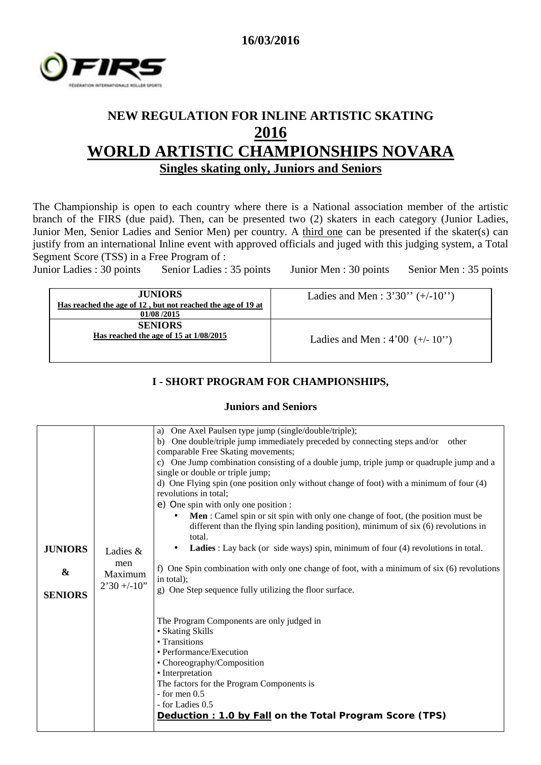



# **NEW REGULATION FOR INLINE ARTISTIC SKATING 2016 WORLD ARTISTIC CHAMPIONSHIPS NOVARA Singles skating only, Juniors and Seniors**

The Championship is open to each country where there is a National association member of the artistic branch of the FIRS (due paid). Then, can be presented two (2) skaters in each category (Junior Ladies, Junior Men, Senior Ladies and Senior Men) per country. A third one can be presented if the skater(s) can justify from an international Inline event with approved officials and juged with this judging system, a Total Segment Score (TSS) in a Free Program of :

Junior Ladies : 30 points Senior Ladies : 35 points Junior Men : 30 points Senior Men : 35 points

| <b>JUNIORS</b><br>Has reached the age of 12, but not reached the age of 19 at<br>01/08/2015 | Ladies and Men : $3'30'' (+/-10'')$ |
|---------------------------------------------------------------------------------------------|-------------------------------------|
| <b>SENIORS</b><br>Has reached the age of 15 at $1/08/2015$                                  | Ladies and Men : $4'00 (+/- 10'')$  |

#### **I - SHORT PROGRAM FOR CHAMPIONSHIPS,**

#### **Juniors and Seniors**

|                   |                | a) One Axel Paulsen type jump (single/double/triple);                                         |
|-------------------|----------------|-----------------------------------------------------------------------------------------------|
|                   |                | b) One double/triple jump immediately preceded by connecting steps and/or other               |
|                   |                | comparable Free Skating movements;                                                            |
|                   |                | c) One Jump combination consisting of a double jump, triple jump or quadruple jump and a      |
|                   |                | single or double or triple jump;                                                              |
|                   |                | d) One Flying spin (one position only without change of foot) with a minimum of four (4)      |
|                   |                | revolutions in total;                                                                         |
|                   |                | e) One spin with only one position :                                                          |
|                   |                | Men : Camel spin or sit spin with only one change of foot, (the position must be<br>$\bullet$ |
|                   |                | different than the flying spin landing position), minimum of six (6) revolutions in           |
|                   |                | total.                                                                                        |
| <b>JUNIORS</b>    | Ladies $&$     | Ladies : Lay back (or side ways) spin, minimum of four (4) revolutions in total.              |
|                   | men            |                                                                                               |
| $\boldsymbol{\&}$ | Maximum        | f) One Spin combination with only one change of foot, with a minimum of six (6) revolutions   |
|                   |                | in total);                                                                                    |
| <b>SENIORS</b>    | $2'30 + -10''$ | g) One Step sequence fully utilizing the floor surface.                                       |
|                   |                |                                                                                               |
|                   |                |                                                                                               |
|                   |                | The Program Components are only judged in                                                     |
|                   |                | • Skating Skills                                                                              |
|                   |                | • Transitions                                                                                 |
|                   |                | • Performance/Execution                                                                       |
|                   |                | • Choreography/Composition                                                                    |
|                   |                | • Interpretation                                                                              |
|                   |                | The factors for the Program Components is                                                     |
|                   |                | $-$ for men $0.5$                                                                             |
|                   |                | - for Ladies 0.5                                                                              |
|                   |                | Deduction : 1.0 by Fall on the Total Program Score (TPS)                                      |
|                   |                |                                                                                               |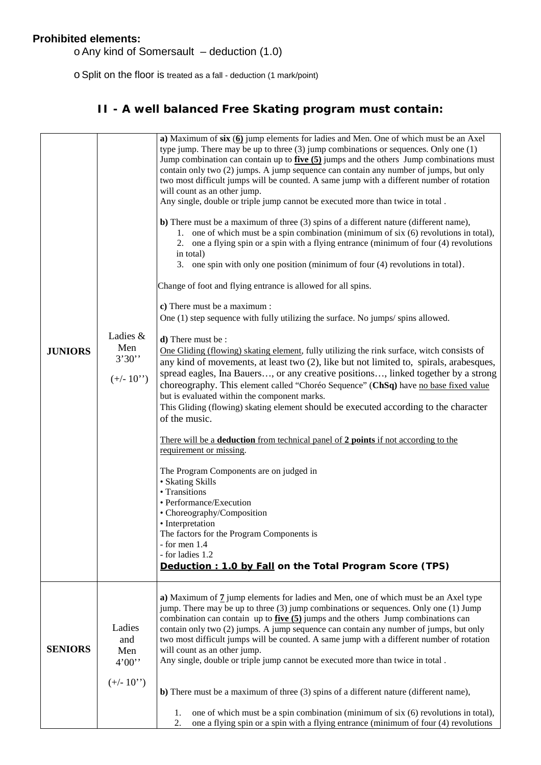### **Prohibited elements:**

oAny kind of Somersault – deduction (1.0)

oSplit on the floor is treated as a fall - deduction (1 mark/point)

## **II - A well balanced Free Skating program must contain:**

| <b>JUNIORS</b> | Ladies &<br>Men<br>3'30''<br>$(+/- 10")$      | a) Maximum of $\text{six}(6)$ jump elements for ladies and Men. One of which must be an Axel<br>type jump. There may be up to three $(3)$ jump combinations or sequences. Only one $(1)$<br>Jump combination can contain up to $five(5)$ jumps and the others Jump combinations must<br>contain only two (2) jumps. A jump sequence can contain any number of jumps, but only<br>two most difficult jumps will be counted. A same jump with a different number of rotation<br>will count as an other jump.<br>Any single, double or triple jump cannot be executed more than twice in total.<br>b) There must be a maximum of three (3) spins of a different nature (different name),<br>1. one of which must be a spin combination (minimum of six (6) revolutions in total),<br>2. one a flying spin or a spin with a flying entrance (minimum of four (4) revolutions<br>in total)<br>3. one spin with only one position (minimum of four (4) revolutions in total).<br>Change of foot and flying entrance is allowed for all spins.<br>c) There must be a maximum :<br>One (1) step sequence with fully utilizing the surface. No jumps/spins allowed.<br>d) There must be:<br>One Gliding (flowing) skating element, fully utilizing the rink surface, witch consists of<br>any kind of movements, at least two (2), like but not limited to, spirals, arabesques,<br>spread eagles, Ina Bauers, or any creative positions, linked together by a strong<br>choreography. This element called "Choréo Sequence" (ChSq) have no base fixed value<br>but is evaluated within the component marks.<br>This Gliding (flowing) skating element should be executed according to the character<br>of the music.<br>There will be a <b>deduction</b> from technical panel of 2 points if not according to the<br>requirement or missing.<br>The Program Components are on judged in<br>• Skating Skills<br>• Transitions<br>• Performance/Execution<br>• Choreography/Composition<br>• Interpretation<br>The factors for the Program Components is<br>- for men 1.4<br>- for ladies 1.2<br>Deduction : 1.0 by Fall on the Total Program Score (TPS) |
|----------------|-----------------------------------------------|-------------------------------------------------------------------------------------------------------------------------------------------------------------------------------------------------------------------------------------------------------------------------------------------------------------------------------------------------------------------------------------------------------------------------------------------------------------------------------------------------------------------------------------------------------------------------------------------------------------------------------------------------------------------------------------------------------------------------------------------------------------------------------------------------------------------------------------------------------------------------------------------------------------------------------------------------------------------------------------------------------------------------------------------------------------------------------------------------------------------------------------------------------------------------------------------------------------------------------------------------------------------------------------------------------------------------------------------------------------------------------------------------------------------------------------------------------------------------------------------------------------------------------------------------------------------------------------------------------------------------------------------------------------------------------------------------------------------------------------------------------------------------------------------------------------------------------------------------------------------------------------------------------------------------------------------------------------------------------------------------------------------------------------------------------------------------------------------------------------------------------------------------|
| <b>SENIORS</b> | Ladies<br>and<br>Men<br>4'00''<br>$(+/- 10")$ | a) Maximum of 7 jump elements for ladies and Men, one of which must be an Axel type<br>jump. There may be up to three (3) jump combinations or sequences. Only one (1) Jump<br>combination can contain up to $five(5)$ jumps and the others Jump combinations can<br>contain only two (2) jumps. A jump sequence can contain any number of jumps, but only<br>two most difficult jumps will be counted. A same jump with a different number of rotation<br>will count as an other jump.<br>Any single, double or triple jump cannot be executed more than twice in total.<br>b) There must be a maximum of three (3) spins of a different nature (different name),<br>one of which must be a spin combination (minimum of six (6) revolutions in total),<br>1.<br>2.<br>one a flying spin or a spin with a flying entrance (minimum of four (4) revolutions                                                                                                                                                                                                                                                                                                                                                                                                                                                                                                                                                                                                                                                                                                                                                                                                                                                                                                                                                                                                                                                                                                                                                                                                                                                                                     |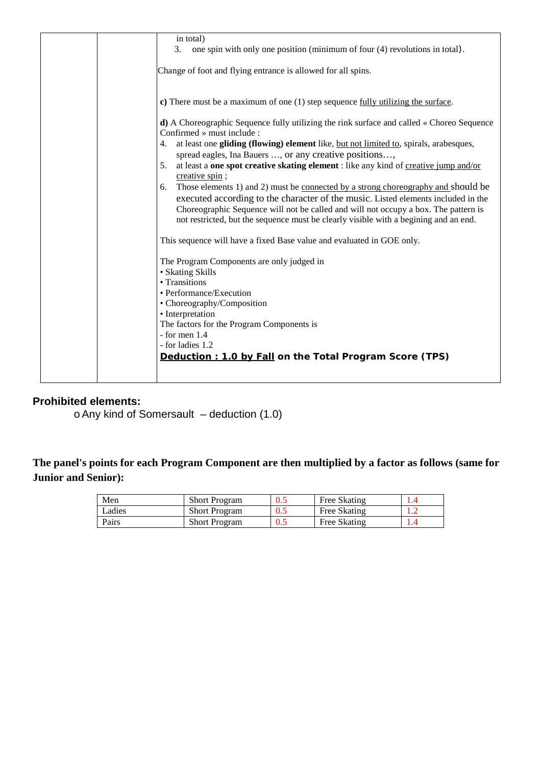#### **Prohibited elements:**

oAny kind of Somersault – deduction (1.0)

**The panel's points for each Program Component are then multiplied by a factor as follows (same for Junior and Senior):**

| Men    | <b>Short Program</b> | U.J | Free Skating |   |
|--------|----------------------|-----|--------------|---|
| Ladies | <b>Short Program</b> | U.J | Free Skating | . |
| Pairs  | <b>Short Program</b> |     | Free Skating |   |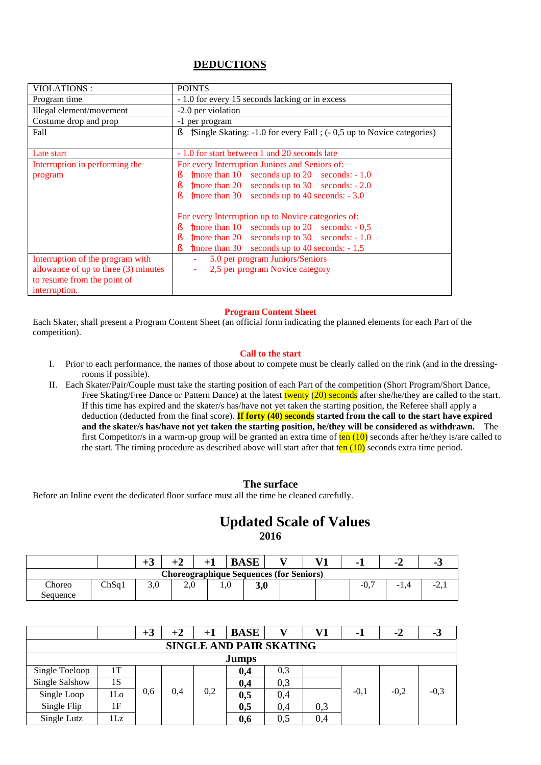#### **DEDUCTIONS**

| VIOLATIONS:                          | <b>POINTS</b>                                                             |  |  |  |  |  |  |  |
|--------------------------------------|---------------------------------------------------------------------------|--|--|--|--|--|--|--|
| Program time                         | - 1.0 for every 15 seconds lacking or in excess                           |  |  |  |  |  |  |  |
| Illegal element/movement             | -2.0 per violation                                                        |  |  |  |  |  |  |  |
| Costume drop and prop                | -1 per program                                                            |  |  |  |  |  |  |  |
| Fall                                 | ş<br>Single Skating: -1.0 for every Fall ; (-0.5 up to Novice categories) |  |  |  |  |  |  |  |
|                                      |                                                                           |  |  |  |  |  |  |  |
| Late start                           | - 1.0 for start between 1 and 20 seconds late                             |  |  |  |  |  |  |  |
| Interruption in performing the       | For every Interruption Juniors and Seniors of:                            |  |  |  |  |  |  |  |
| program                              | more than $10$ seconds up to $20$ seconds: $-1.0$<br>ş                    |  |  |  |  |  |  |  |
|                                      | more than 20 seconds up to 30 seconds: $-2.0$<br>ş                        |  |  |  |  |  |  |  |
|                                      | more than $30$ seconds up to 40 seconds: $-3.0$<br>ξ                      |  |  |  |  |  |  |  |
|                                      |                                                                           |  |  |  |  |  |  |  |
|                                      | For every Interruption up to Novice categories of:                        |  |  |  |  |  |  |  |
|                                      | more than 10 seconds up to 20 seconds: $-0.5$<br>ş                        |  |  |  |  |  |  |  |
|                                      | more than 20 seconds up to 30 seconds: $-1.0$<br>ş                        |  |  |  |  |  |  |  |
|                                      | more than 30 seconds up to 40 seconds: - 1.5<br>ş                         |  |  |  |  |  |  |  |
| Interruption of the program with     | 5.0 per program Juniors/Seniors<br>$\sim$                                 |  |  |  |  |  |  |  |
| allowance of up to three (3) minutes | 2,5 per program Novice category<br>$\blacksquare$                         |  |  |  |  |  |  |  |
| to resume from the point of          |                                                                           |  |  |  |  |  |  |  |
| interruption.                        |                                                                           |  |  |  |  |  |  |  |

#### **Program Content Sheet**

Each Skater, shall present a Program Content Sheet (an official form indicating the planned elements for each Part of the competition).

#### **Call to the start**

- I. Prior to each performance, the names of those about to compete must be clearly called on the rink (and in the dressingrooms if possible).
- II. Each Skater/Pair/Couple must take the starting position of each Part of the competition (Short Program/Short Dance, Free Skating/Free Dance or Pattern Dance) at the latest twenty (20) seconds after she/he/they are called to the start. If this time has expired and the skater/s has/have not yet taken the starting position, the Referee shall apply a deduction (deducted from the final score). **If forty (40) seconds started from the call to the start have expired and the skater/s has/have not yet taken the starting position, he/they will be considered as withdrawn.** The first Competitor/s in a warm-up group will be granted an extra time of  $ten (10)$  seconds after he/they is/are called to the start. The timing procedure as described above will start after that  $\tan (10)$  seconds extra time period.

#### **The surface**

Before an Inline event the dedicated floor surface must all the time be cleaned carefully.

### **Updated Scale of Values 2016**

|                    |                                                | $+$ $\sim$ |        |  | <b>BASE</b> | - - |  |                  | . . |        |  |  |
|--------------------|------------------------------------------------|------------|--------|--|-------------|-----|--|------------------|-----|--------|--|--|
|                    | <b>Choreographique Sequences (for Seniors)</b> |            |        |  |             |     |  |                  |     |        |  |  |
| Choreo<br>Sequence | ChSq 1                                         |            | $\sim$ |  | JW          |     |  | $-U_{\bullet}$ . | -   | $\sim$ |  |  |

|                                |                 | $+3$ | $^{\bf +2}$ | $+1$ | <b>BASE</b> |     | V1  | - 1    | $-2$   | -9     |  |
|--------------------------------|-----------------|------|-------------|------|-------------|-----|-----|--------|--------|--------|--|
| <b>SINGLE AND PAIR SKATING</b> |                 |      |             |      |             |     |     |        |        |        |  |
|                                | <b>Jumps</b>    |      |             |      |             |     |     |        |        |        |  |
| Single Toeloop                 | 1T              |      |             |      | 0,4         | 0.3 |     |        |        |        |  |
| Single Salshow                 | 1S              |      |             |      | 0,4         | 0,3 |     |        |        |        |  |
| Single Loop                    | 1 <sub>LO</sub> | 0.6  | 0,4         | 0,2  | 0,5         | 0,4 |     | $-0.1$ | $-0.2$ | $-0,3$ |  |
| Single Flip                    | 1F              |      |             |      | 0,5         | 0,4 | 0,3 |        |        |        |  |
| Single Lutz                    | 1Lz             |      |             |      | 0,6         | 0,5 | 0,4 |        |        |        |  |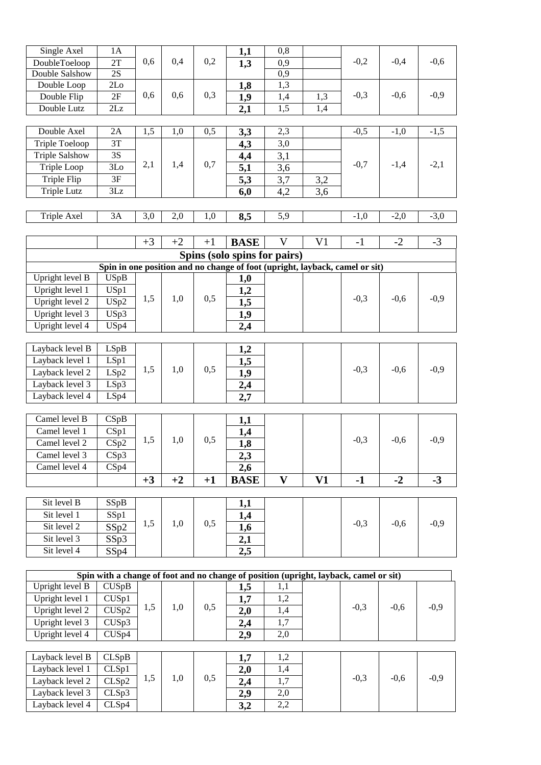| Single Axel                  | 1A                |      |      |      | 1,1                                                                                   | 0,8              |                |        |        |        |
|------------------------------|-------------------|------|------|------|---------------------------------------------------------------------------------------|------------------|----------------|--------|--------|--------|
| DoubleToeloop                | $2\mathrm{T}$     | 0,6  | 0,4  | 0,2  | 1,3                                                                                   | 0,9              |                | $-0,2$ | $-0,4$ | $-0,6$ |
| Double Salshow               | 2S                |      |      |      |                                                                                       | 0,9              |                |        |        |        |
| Double Loop                  | 2Lo               |      |      |      | 1,8                                                                                   | 1,3              |                |        |        |        |
| Double Flip                  | 2F                | 0,6  | 0,6  | 0,3  | 1,9                                                                                   | 1,4              | 1,3            | $-0,3$ | $-0,6$ | $-0,9$ |
| Double Lutz                  | 2Lz               |      |      |      | 2,1                                                                                   | $\overline{1,5}$ | 1,4            |        |        |        |
|                              |                   |      |      |      |                                                                                       |                  |                |        |        |        |
| Double Axel                  | 2A                | 1,5  | 1,0  | 0,5  | 3,3                                                                                   | 2,3              |                | $-0,5$ | $-1,0$ | $-1,5$ |
| <b>Triple Toeloop</b>        | 3T                |      |      |      | 4,3                                                                                   | 3,0              |                |        |        |        |
| <b>Triple Salshow</b>        | 3S                |      |      |      | 4,4                                                                                   | 3,1              |                |        |        |        |
| Triple Loop                  | 3Lo               | 2,1  | 1,4  | 0,7  | 5,1                                                                                   | 3,6              |                | $-0,7$ | $-1,4$ | $-2,1$ |
| Triple Flip                  | 3F                |      |      |      | 5,3                                                                                   | 3,7              | 3,2            |        |        |        |
| <b>Triple Lutz</b>           | 3Lz               |      |      |      | 6,0                                                                                   | 4,2              | 3,6            |        |        |        |
|                              |                   |      |      |      |                                                                                       |                  |                |        |        |        |
| Triple Axel                  | 3A                | 3,0  | 2,0  | 1,0  | 8,5                                                                                   | 5,9              |                | $-1,0$ | $-2,0$ | $-3,0$ |
|                              |                   |      |      |      |                                                                                       |                  |                |        |        |        |
|                              |                   | $+3$ | $+2$ | $+1$ | <b>BASE</b>                                                                           | $\mathbf{V}$     | V <sub>1</sub> | $-1$   | $-2$   | $-3$   |
|                              |                   |      |      |      |                                                                                       |                  |                |        |        |        |
|                              |                   |      |      |      | Spins (solo spins for pairs)                                                          |                  |                |        |        |        |
| Upright level $\overline{B}$ | <b>USpB</b>       |      |      |      | Spin in one position and no change of foot (upright, layback, camel or sit)           |                  |                |        |        |        |
| Upright level 1              |                   |      |      |      | 1,0                                                                                   |                  |                |        |        |        |
|                              | USp1              | 1,5  | 1,0  | 0,5  | 1,2                                                                                   |                  |                | $-0,3$ | $-0,6$ | $-0,9$ |
| Upright level 2              | USp2              |      |      |      | 1,5                                                                                   |                  |                |        |        |        |
| Upright level 3              | USp3              |      |      |      | 1,9                                                                                   |                  |                |        |        |        |
| Upright level 4              | USp4              |      |      |      | 2,4                                                                                   |                  |                |        |        |        |
|                              |                   |      |      |      |                                                                                       |                  |                |        |        |        |
| Layback level B              | LSpB              |      |      |      | 1,2                                                                                   |                  |                |        |        |        |
| Layback level 1              | LSp1              | 1,5  | 1,0  | 0,5  | 1,5                                                                                   |                  |                | $-0,3$ | $-0,6$ | $-0,9$ |
| Layback level 2              | LSp2              |      |      |      | 1,9                                                                                   |                  |                |        |        |        |
| Layback level 3              | LSp3              |      |      |      | 2,4                                                                                   |                  |                |        |        |        |
| Layback level 4              | LSp4              |      |      |      | 2,7                                                                                   |                  |                |        |        |        |
|                              |                   |      |      |      |                                                                                       |                  |                |        |        |        |
| Camel level B                | CSpB              |      |      |      | 1,1                                                                                   |                  |                |        |        |        |
| Camel level 1                | CSp1              | 1,5  | 1,0  | 0,5  | 1,4                                                                                   |                  |                | $-0,3$ | $-0,6$ | $-0,9$ |
| Camel level 2                | CSp2              |      |      |      | 1,8                                                                                   |                  |                |        |        |        |
| Camel level 3                | CSp3              |      |      |      | 2,3                                                                                   |                  |                |        |        |        |
| Camel level 4                | CSp4              |      |      |      | 2,6                                                                                   |                  |                |        |        |        |
|                              |                   | $+3$ | $+2$ | $+1$ | <b>BASE</b>                                                                           | $\mathbf{V}$     | V1             | $-1$   | $-2$   | $-3$   |
|                              |                   |      |      |      |                                                                                       |                  |                |        |        |        |
| Sit level B                  | SSpB              |      |      |      | 1,1                                                                                   |                  |                |        |        |        |
| Sit level 1                  | SSp1              |      |      |      | 1,4                                                                                   |                  |                |        |        |        |
| Sit level 2                  | SSp2              | 1,5  | 1,0  | 0,5  | 1,6                                                                                   |                  |                | $-0,3$ | $-0,6$ | $-0,9$ |
| Sit level 3                  | SSp3              |      |      |      | 2,1                                                                                   |                  |                |        |        |        |
| Sit level 4                  | SSp4              |      |      |      | 2,5                                                                                   |                  |                |        |        |        |
|                              |                   |      |      |      |                                                                                       |                  |                |        |        |        |
|                              |                   |      |      |      | Spin with a change of foot and no change of position (upright, layback, camel or sit) |                  |                |        |        |        |
| Upright level B              | CUSpB             |      |      |      | 1,5                                                                                   | 1,1              |                |        |        |        |
| Upright level 1              | CUSp1             |      |      |      | 1,7                                                                                   | 1,2              |                |        |        |        |
| Upright level 2              | CUSp2             | 1,5  | 1,0  | 0,5  | 2,0                                                                                   | 1,4              |                | $-0,3$ | $-0,6$ | $-0,9$ |
| Upright level 3              | CUSp3             |      |      |      | 2,4                                                                                   | 1,7              |                |        |        |        |
| Upright level 4              | CUS <sub>p4</sub> |      |      |      | 2,9                                                                                   | 2,0              |                |        |        |        |
|                              |                   |      |      |      |                                                                                       |                  |                |        |        |        |
| Layback level B              | CLSpB             |      |      |      | 1,7                                                                                   | 1,2              |                |        |        |        |
| Layback level 1              | CLSp1             |      |      |      | 2,0                                                                                   | 1,4              |                |        |        |        |
| Layback level 2              | CLSp2             | 1,5  | 1,0  | 0,5  | 2,4                                                                                   | 1,7              |                | $-0,3$ | $-0,6$ | $-0,9$ |
| Layback level 3              | CLSp3             |      |      |      | 2,9                                                                                   | 2,0              |                |        |        |        |
| Layback level 4              | CLSp4             |      |      |      | 3,2                                                                                   | 2,2              |                |        |        |        |
|                              |                   |      |      |      |                                                                                       |                  |                |        |        |        |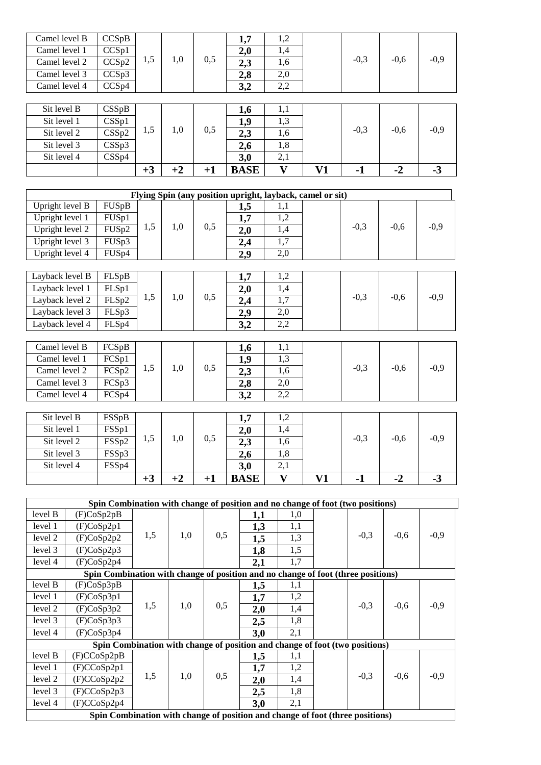| Camel level B   | CCSpB              |      |      |      | 1,7                                                       | 1,2                     |    |        |        |        |
|-----------------|--------------------|------|------|------|-----------------------------------------------------------|-------------------------|----|--------|--------|--------|
| Camel level 1   | CCSp1              |      |      |      | 2,0                                                       | 1,4                     |    |        |        |        |
| Camel level 2   | CCSp2              | 1,5  | 1,0  | 0,5  | 2,3                                                       | 1,6                     |    | $-0,3$ | $-0,6$ | $-0,9$ |
| Camel level 3   | CCSp3              |      |      |      | 2,8                                                       | 2,0                     |    |        |        |        |
| Camel level 4   | $\overline{CCSp4}$ |      |      |      | 3,2                                                       | 2,2                     |    |        |        |        |
|                 |                    |      |      |      |                                                           |                         |    |        |        |        |
| Sit level B     | CSSpB              |      |      |      | 1,6                                                       | 1,1                     |    |        |        |        |
| Sit level 1     | CSSp1              |      |      |      | 1,9                                                       | 1,3                     |    |        |        |        |
| Sit level 2     | CSSp2              | 1,5  | 1,0  | 0,5  | 2,3                                                       | 1,6                     |    | $-0,3$ | $-0,6$ | $-0,9$ |
| Sit level 3     | CSSp3              |      |      |      | 2,6                                                       | 1,8                     |    |        |        |        |
| Sit level 4     | CSSp4              |      |      |      | 3,0                                                       | 2,1                     |    |        |        |        |
|                 |                    | $+3$ | $+2$ | $+1$ | <b>BASE</b>                                               | $\overline{\mathbf{V}}$ | V1 | $-1$   | $-2$   | $-3$   |
|                 |                    |      |      |      |                                                           |                         |    |        |        |        |
|                 |                    |      |      |      |                                                           |                         |    |        |        |        |
|                 |                    |      |      |      | Flying Spin (any position upright, layback, camel or sit) |                         |    |        |        |        |
| Upright level B | FUSpB              |      |      |      | 1,5                                                       | 1,1                     |    |        |        |        |
| Upright level 1 | FUS <sub>p1</sub>  |      |      |      | 1,7                                                       | 1,2                     |    |        |        |        |
| Upright level 2 | FUSp2              | 1,5  | 1,0  | 0,5  | 2,0                                                       | 1,4                     |    | $-0,3$ | $-0,6$ | $-0,9$ |
| Upright level 3 | FUSp3              |      |      |      | 2,4                                                       | 1,7                     |    |        |        |        |
| Upright level 4 | FUSp4              |      |      |      | 2,9                                                       | 2,0                     |    |        |        |        |
|                 |                    |      |      |      |                                                           |                         |    |        |        |        |
| Layback level B | FLSpB              |      |      |      | 1,7                                                       | 1,2                     |    |        |        |        |
| Layback level 1 | FLSp1              |      |      |      | 2,0                                                       | 1,4                     |    |        |        |        |
| Layback level 2 | FLSp2              | 1,5  | 1,0  | 0,5  | 2,4                                                       | 1,7                     |    | $-0,3$ | $-0,6$ | $-0,9$ |

| Camel level B | FCSpB             |      |     |     | 1,0       |     |        |        |      |
|---------------|-------------------|------|-----|-----|-----------|-----|--------|--------|------|
| Camel level 1 | FCS <sub>p1</sub> |      |     |     | 1,9       |     |        |        |      |
| Camel level 2 | FCSp2             | C, L | 1.0 | 0,5 | 2,3       |     | $-0.3$ | $-0.6$ | -0,9 |
| Camel level 3 | FCSp3             |      |     |     | 2,8       | 2.0 |        |        |      |
| Camel level 4 | FCS <sub>p4</sub> |      |     |     | 22<br>⊭وف | ے م |        |        |      |

Layback level 4 | FLSp4 | | | | | | | | 3,2 | 2,2

| Sit level B | FSSpB |      |     |     | ר ו<br>1., / | 1,2 |        |        |        |
|-------------|-------|------|-----|-----|--------------|-----|--------|--------|--------|
| Sit level 1 | FSSp1 |      |     |     | 2,0          |     |        |        |        |
| Sit level 2 | FSSp2 | 1.5  | 1.0 | 0,5 | 2,3          | 1,6 | $-0,3$ | $-0.6$ | $-0,9$ |
| Sit level 3 | FSSp3 |      |     |     | 2,6          | 1,8 |        |        |        |
| Sit level 4 | FSSp4 |      |     |     | 3,0          | 2,1 |        |        |        |
|             |       | $+3$ |     |     | <b>BASE</b>  |     | - 1    | -2     | - 3    |

|         | Spin Combination with change of position and no change of foot (two positions)   |     |     |     |     |     |  |        |        |        |  |  |
|---------|----------------------------------------------------------------------------------|-----|-----|-----|-----|-----|--|--------|--------|--------|--|--|
| level B | (F)CoSp2pB                                                                       |     |     |     | 1,1 | 1,0 |  |        |        |        |  |  |
| level 1 | (F)CoSp2p1                                                                       |     |     |     | 1,3 | 1,1 |  |        |        |        |  |  |
| level 2 | (F)CoSp2p2                                                                       | 1,5 | 1,0 | 0,5 | 1,5 | 1,3 |  | $-0,3$ | $-0,6$ | $-0,9$ |  |  |
| level 3 | (F)CoSp2p3                                                                       |     |     |     | 1,8 | 1,5 |  |        |        |        |  |  |
| level 4 | (F)CoSp2p4                                                                       |     |     |     | 2,1 | 1,7 |  |        |        |        |  |  |
|         | Spin Combination with change of position and no change of foot (three positions) |     |     |     |     |     |  |        |        |        |  |  |
| level B | (F)CoSp3pB                                                                       |     |     |     | 1,5 | 1,1 |  |        |        |        |  |  |
| level 1 | (F)CoSp3p1                                                                       |     |     |     | 1,7 | 1,2 |  |        |        |        |  |  |
| level 2 | (F)CoSp3p2                                                                       | 1,5 | 1,0 | 0,5 | 2,0 | 1,4 |  | $-0,3$ | $-0.6$ | $-0,9$ |  |  |
| level 3 | (F)CoSp3p3                                                                       |     |     |     | 2,5 | 1,8 |  |        |        |        |  |  |
| level 4 | (F)CoSp3p4                                                                       |     |     |     | 3,0 | 2,1 |  |        |        |        |  |  |
|         | Spin Combination with change of position and change of foot (two positions)      |     |     |     |     |     |  |        |        |        |  |  |
| level B | (F)CCoSp2pB                                                                      |     |     |     | 1,5 | 1,1 |  |        |        |        |  |  |
| level 1 | (F)CCoSp2p1                                                                      |     |     |     | 1,7 | 1,2 |  |        |        |        |  |  |
| level 2 | (F)CCoSp2p2                                                                      | 1,5 | 1,0 | 0,5 | 2,0 | 1,4 |  | $-0,3$ | $-0.6$ | $-0,9$ |  |  |
| level 3 | (F)CCoSp2p3                                                                      |     |     |     | 2,5 | 1,8 |  |        |        |        |  |  |
| level 4 | (F)CCoSp2p4                                                                      |     |     |     | 3,0 | 2,1 |  |        |        |        |  |  |
|         | Spin Combination with change of position and change of foot (three positions)    |     |     |     |     |     |  |        |        |        |  |  |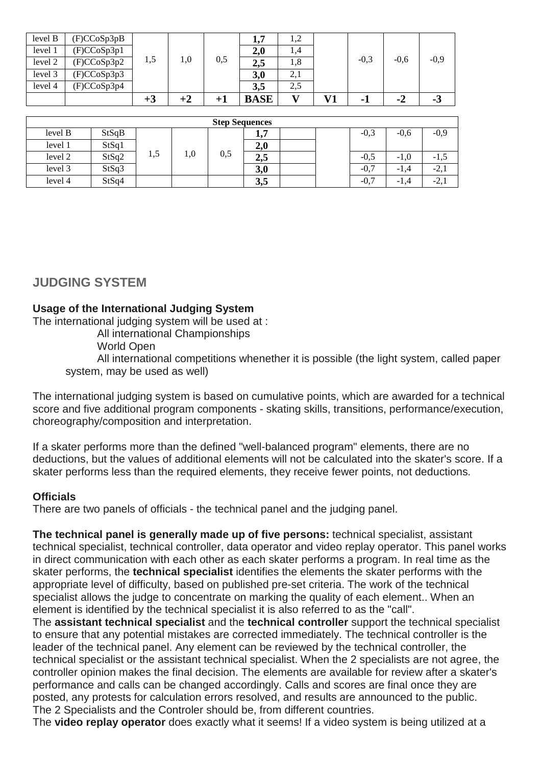|         |             | $+3$ |     |     | <b>BASE</b> |      | <b>V71</b> |        | -4     | - 3    |
|---------|-------------|------|-----|-----|-------------|------|------------|--------|--------|--------|
| level 4 | (F)CCoSp3p4 |      |     |     | 3,5         | 2,5  |            |        |        |        |
| level 3 | (F)CCoSp3p3 |      |     |     | 3,0         | 2,1  |            |        |        |        |
| level 2 | (F)CCoSp3p2 | 1,5  | 1,0 | 0,5 | 2,5         | 1,8  |            | $-0,3$ | $-0,6$ | $-0,9$ |
| level 1 | (F)CCoSp3p1 |      |     |     | 2,0         | 1,4  |            |        |        |        |
| level B | (F)CCoSp3pB |      |     |     | <b>1,7</b>  | 1, 4 |            |        |        |        |

| <b>Step Sequences</b> |       |     |     |     |             |  |  |        |        |        |  |
|-----------------------|-------|-----|-----|-----|-------------|--|--|--------|--------|--------|--|
| level B               | StSqB |     |     |     | 17<br>ا و ا |  |  | $-0,3$ | $-0.6$ | $-0,9$ |  |
| level 1               | StSq1 |     |     |     | 2,0         |  |  |        |        |        |  |
| level 2               | StSq2 | 1,5 | 1,0 | 0,5 | 2,5         |  |  | $-0,5$ | $-1,0$ | -1.3   |  |
| level 3               | StSq3 |     |     |     | 3,0         |  |  | $-0,7$ | $-1,4$ | $-2.$  |  |
| level 4               | StSq4 |     |     |     | 3,5         |  |  | $-0,7$ | $-1.4$ | $-2,$  |  |

# **JUDGING SYSTEM**

#### **Usage of the International Judging System**

The international judging system will be used at :

All international Championships

World Open

All international competitions whenether it is possible (the light system, called paper system, may be used as well)

The international judging system is based on cumulative points, which are awarded for a technical score and five additional program components - skating skills, transitions, performance/execution, choreography/composition and interpretation.

If a skater performs more than the defined "well-balanced program" elements, there are no deductions, but the values of additional elements will not be calculated into the skater's score. If a skater performs less than the required elements, they receive fewer points, not deductions.

#### **Officials**

There are two panels of officials - the technical panel and the judging panel.

**The technical panel is generally made up of five persons:** technical specialist, assistant technical specialist, technical controller, data operator and video replay operator. This panel works in direct communication with each other as each skater performs a program. In real time as the skater performs, the **technical specialist** identifies the elements the skater performs with the appropriate level of difficulty, based on published pre-set criteria. The work of the technical specialist allows the judge to concentrate on marking the quality of each element.. When an element is identified by the technical specialist it is also referred to as the "call".

The **assistant technical specialist** and the **technical controller** support the technical specialist to ensure that any potential mistakes are corrected immediately. The technical controller is the leader of the technical panel. Any element can be reviewed by the technical controller, the technical specialist or the assistant technical specialist. When the 2 specialists are not agree, the controller opinion makes the final decision. The elements are available for review after a skater's performance and calls can be changed accordingly. Calls and scores are final once they are posted, any protests for calculation errors resolved, and results are announced to the public. The 2 Specialists and the Controler should be, from different countries.

The **video replay operator** does exactly what it seems! If a video system is being utilized at a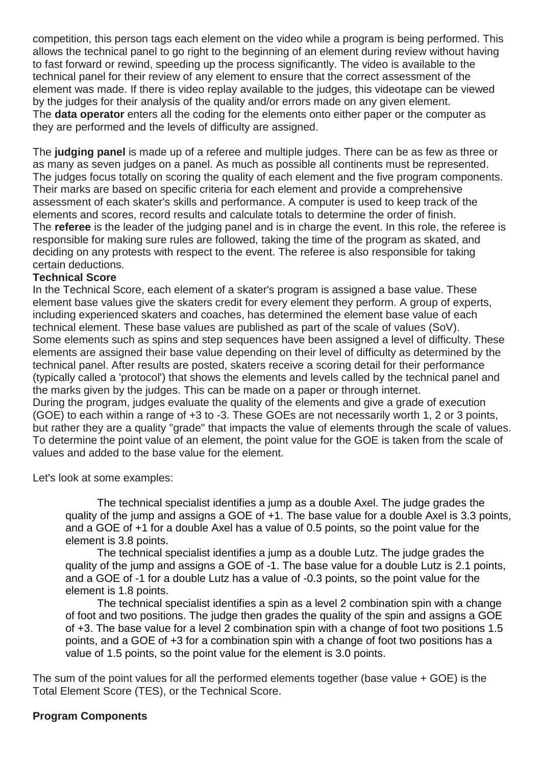competition, this person tags each element on the video while a program is being performed. This allows the technical panel to go right to the beginning of an element during review without having to fast forward or rewind, speeding up the process significantly. The video is available to the technical panel for their review of any element to ensure that the correct assessment of the element was made. If there is video replay available to the judges, this videotape can be viewed by the judges for their analysis of the quality and/or errors made on any given element. The **data operator** enters all the coding for the elements onto either paper or the computer as they are performed and the levels of difficulty are assigned.

The **judging panel** is made up of a referee and multiple judges. There can be as few as three or as many as seven judges on a panel. As much as possible all continents must be represented. The judges focus totally on scoring the quality of each element and the five program components. Their marks are based on specific criteria for each element and provide a comprehensive assessment of each skater's skills and performance. A computer is used to keep track of the elements and scores, record results and calculate totals to determine the order of finish. The **referee** is the leader of the judging panel and is in charge the event. In this role, the referee is responsible for making sure rules are followed, taking the time of the program as skated, and deciding on any protests with respect to the event. The referee is also responsible for taking certain deductions.

#### **Technical Score**

In the Technical Score, each element of a skater's program is assigned a base value. These element base values give the skaters credit for every element they perform. A group of experts, including experienced skaters and coaches, has determined the element base value of each technical element. These base values are published as part of the scale of values (SoV). Some elements such as spins and step sequences have been assigned a level of difficulty. These elements are assigned their base value depending on their level of difficulty as determined by the technical panel. After results are posted, skaters receive a scoring detail for their performance (typically called a 'protocol') that shows the elements and levels called by the technical panel and the marks given by the judges. This can be made on a paper or through internet. During the program, judges evaluate the quality of the elements and give a grade of execution (GOE) to each within a range of +3 to -3. These GOEs are not necessarily worth 1, 2 or 3 points, but rather they are a quality "grade" that impacts the value of elements through the scale of values. To determine the point value of an element, the point value for the GOE is taken from the scale of values and added to the base value for the element.

Let's look at some examples:

 The technical specialist identifies a jump as a double Axel. The judge grades the quality of the jump and assigns a GOE of +1. The base value for a double Axel is 3.3 points, and a GOE of +1 for a double Axel has a value of 0.5 points, so the point value for the element is 3.8 points.

The technical specialist identifies a jump as a double Lutz. The judge grades the quality of the jump and assigns a GOE of -1. The base value for a double Lutz is 2.1 points, and a GOE of -1 for a double Lutz has a value of -0.3 points, so the point value for the element is 1.8 points.

The technical specialist identifies a spin as a level 2 combination spin with a change of foot and two positions. The judge then grades the quality of the spin and assigns a GOE of +3. The base value for a level 2 combination spin with a change of foot two positions 1.5 points, and a GOE of +3 for a combination spin with a change of foot two positions has a value of 1.5 points, so the point value for the element is 3.0 points.

The sum of the point values for all the performed elements together (base value + GOE) is the Total Element Score (TES), or the Technical Score.

#### **Program Components**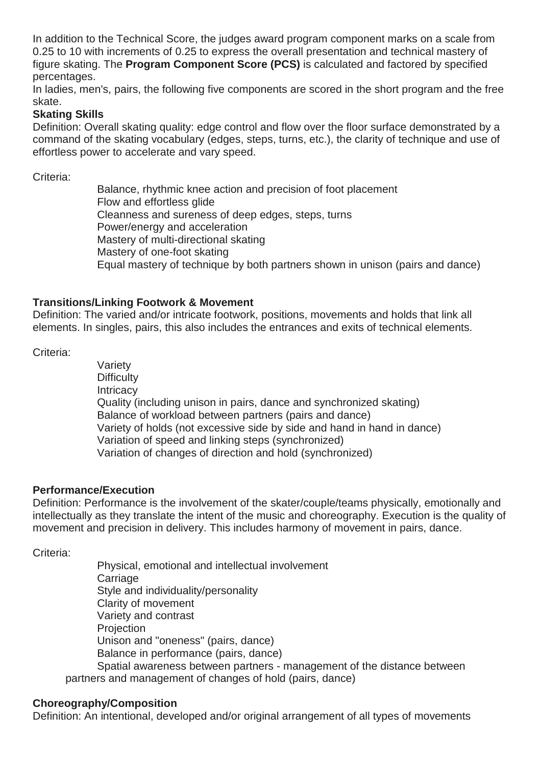In addition to the Technical Score, the judges award program component marks on a scale from 0.25 to 10 with increments of 0.25 to express the overall presentation and technical mastery of figure skating. The **Program Component Score (PCS)** is calculated and factored by specified percentages.

In ladies, men's, pairs, the following five components are scored in the short program and the free skate.

#### **Skating Skills**

Definition: Overall skating quality: edge control and flow over the floor surface demonstrated by a command of the skating vocabulary (edges, steps, turns, etc.), the clarity of technique and use of effortless power to accelerate and vary speed.

Criteria:

Balance, rhythmic knee action and precision of foot placement Flow and effortless glide Cleanness and sureness of deep edges, steps, turns Power/energy and acceleration Mastery of multi-directional skating Mastery of one-foot skating Equal mastery of technique by both partners shown in unison (pairs and dance)

#### **Transitions/Linking Footwork & Movement**

Definition: The varied and/or intricate footwork, positions, movements and holds that link all elements. In singles, pairs, this also includes the entrances and exits of technical elements.

Criteria:

Variety **Difficulty Intricacy** Quality (including unison in pairs, dance and synchronized skating) Balance of workload between partners (pairs and dance) Variety of holds (not excessive side by side and hand in hand in dance) Variation of speed and linking steps (synchronized) Variation of changes of direction and hold (synchronized)

#### **Performance/Execution**

Definition: Performance is the involvement of the skater/couple/teams physically, emotionally and intellectually as they translate the intent of the music and choreography. Execution is the quality of movement and precision in delivery. This includes harmony of movement in pairs, dance.

Criteria:

Physical, emotional and intellectual involvement **Carriage** Style and individuality/personality Clarity of movement Variety and contrast **Projection** Unison and "oneness" (pairs, dance) Balance in performance (pairs, dance) Spatial awareness between partners - management of the distance between partners and management of changes of hold (pairs, dance)

#### **Choreography/Composition**

Definition: An intentional, developed and/or original arrangement of all types of movements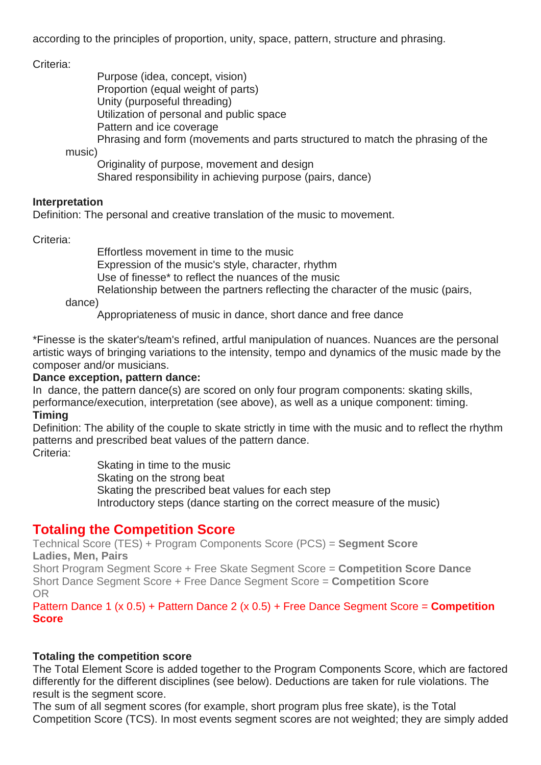according to the principles of proportion, unity, space, pattern, structure and phrasing.

Criteria:

Purpose (idea, concept, vision)

Proportion (equal weight of parts)

Unity (purposeful threading)

Utilization of personal and public space

Pattern and ice coverage

Phrasing and form (movements and parts structured to match the phrasing of the

music)

Originality of purpose, movement and design

Shared responsibility in achieving purpose (pairs, dance)

#### **Interpretation**

Definition: The personal and creative translation of the music to movement.

Criteria:

Effortless movement in time to the music

Expression of the music's style, character, rhythm

Use of finesse\* to reflect the nuances of the music

Relationship between the partners reflecting the character of the music (pairs,

dance)

Appropriateness of music in dance, short dance and free dance

\*Finesse is the skater's/team's refined, artful manipulation of nuances. Nuances are the personal artistic ways of bringing variations to the intensity, tempo and dynamics of the music made by the composer and/or musicians.

#### **Dance exception, pattern dance:**

In dance, the pattern dance(s) are scored on only four program components: skating skills, performance/execution, interpretation (see above), as well as a unique component: timing. **Timing**

Definition: The ability of the couple to skate strictly in time with the music and to reflect the rhythm patterns and prescribed beat values of the pattern dance.

Criteria:

Skating in time to the music Skating on the strong beat Skating the prescribed beat values for each step Introductory steps (dance starting on the correct measure of the music)

## **Totaling the Competition Score**

Technical Score (TES) + Program Components Score (PCS) = **Segment Score Ladies, Men, Pairs** Short Program Segment Score + Free Skate Segment Score = **Competition Score Dance**

Short Dance Segment Score + Free Dance Segment Score = **Competition Score** OR

Pattern Dance 1 (x 0.5) + Pattern Dance 2 (x 0.5) + Free Dance Segment Score = **Competition Score**

#### **Totaling the competition score**

The Total Element Score is added together to the Program Components Score, which are factored differently for the different disciplines (see below). Deductions are taken for rule violations. The result is the segment score.

The sum of all segment scores (for example, short program plus free skate), is the Total Competition Score (TCS). In most events segment scores are not weighted; they are simply added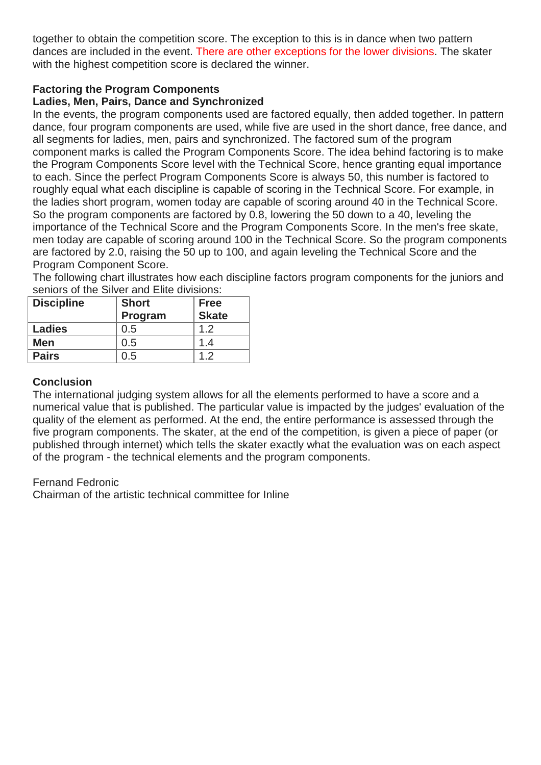together to obtain the competition score. The exception to this is in dance when two pattern dances are included in the event. There are other exceptions for the lower divisions. The skater with the highest competition score is declared the winner.

#### **Factoring the Program Components**

### **Ladies, Men, Pairs, Dance and Synchronized**

In the events, the program components used are factored equally, then added together. In pattern dance, four program components are used, while five are used in the short dance, free dance, and all segments for ladies, men, pairs and synchronized. The factored sum of the program component marks is called the Program Components Score. The idea behind factoring is to make the Program Components Score level with the Technical Score, hence granting equal importance to each. Since the perfect Program Components Score is always 50, this number is factored to roughly equal what each discipline is capable of scoring in the Technical Score. For example, in the ladies short program, women today are capable of scoring around 40 in the Technical Score. So the program components are factored by 0.8, lowering the 50 down to a 40, leveling the importance of the Technical Score and the Program Components Score. In the men's free skate, men today are capable of scoring around 100 in the Technical Score. So the program components are factored by 2.0, raising the 50 up to 100, and again leveling the Technical Score and the Program Component Score.

The following chart illustrates how each discipline factors program components for the juniors and seniors of the Silver and Elite divisions:

| <b>Discipline</b> | <b>Short</b> | <b>Free</b>  |  |
|-------------------|--------------|--------------|--|
|                   | Program      | <b>Skate</b> |  |
| <b>Ladies</b>     | 0.5          | 1.2          |  |
| Men               | 0.5          | 1.4          |  |
| <b>Pairs</b>      | 0.5          | 12           |  |

#### **Conclusion**

The international judging system allows for all the elements performed to have a score and a numerical value that is published. The particular value is impacted by the judges' evaluation of the quality of the element as performed. At the end, the entire performance is assessed through the five program components. The skater, at the end of the competition, is given a piece of paper (or published through internet) which tells the skater exactly what the evaluation was on each aspect of the program - the technical elements and the program components.

Fernand Fedronic

Chairman of the artistic technical committee for Inline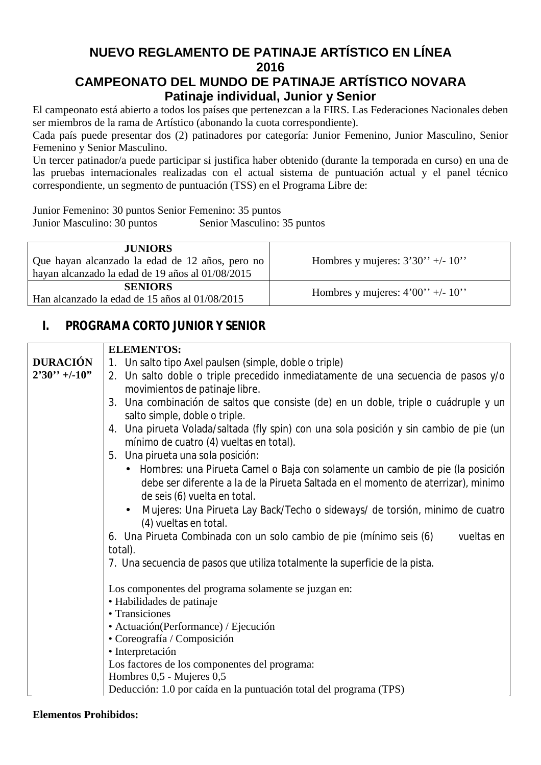# **NUEVO REGLAMENTO DE PATINAJE ARTÍSTICO EN LÍNEA 2016**

# **CAMPEONATO DEL MUNDO DE PATINAJE ARTÍSTICO NOVARA Patinaje individual, Junior y Senior**

El campeonato está abierto a todos los países que pertenezcan a la FIRS. Las Federaciones Nacionales deben ser miembros de la rama de Artístico (abonando la cuota correspondiente).

Cada país puede presentar dos (2) patinadores por categoría: Junior Femenino, Junior Masculino, Senior Femenino y Senior Masculino.

Un tercer patinador/a puede participar si justifica haber obtenido (durante la temporada en curso) en una de las pruebas internacionales realizadas con el actual sistema de puntuación actual y el panel técnico correspondiente, un segmento de puntuación (TSS) en el Programa Libre de:

Junior Femenino: 30 puntos Senior Femenino: 35 puntos

Junior Masculino: 30 puntos Senior Masculino: 35 puntos

| <b>JUNIORS</b><br>Que hayan alcanzado la edad de 12 años, pero no<br>hayan alcanzado la edad de 19 años al 01/08/2015 | Hombres y mujeres: $3'30'' + (-10'')$ |
|-----------------------------------------------------------------------------------------------------------------------|---------------------------------------|
| <b>SENIORS</b><br>Han alcanzado la edad de 15 años al 01/08/2015                                                      | Hombres y mujeres: $4'00'' + (-10'')$ |

# **I. PROGRAMA CORTO JUNIOR Y SENIOR**

|                  | <b>ELEMENTOS:</b>                                                                                                                                                                                    |
|------------------|------------------------------------------------------------------------------------------------------------------------------------------------------------------------------------------------------|
| <b>DURACIÓN</b>  | 1. Un salto tipo Axel paulsen (simple, doble o triple)                                                                                                                                               |
| $2'30'' + -10''$ | 2. Un salto doble o triple precedido inmediatamente de una secuencia de pasos y/o<br>movimientos de patinaje libre.                                                                                  |
|                  | 3. Una combinación de saltos que consiste (de) en un doble, triple o cuádruple y un<br>salto simple, doble o triple.                                                                                 |
|                  | 4. Una pirueta Volada/saltada (fly spin) con una sola posición y sin cambio de pie (un<br>mínimo de cuatro (4) vueltas en total).                                                                    |
|                  | 5. Una pirueta una sola posición:                                                                                                                                                                    |
|                  | • Hombres: una Pirueta Camel o Baja con solamente un cambio de pie (la posición<br>debe ser diferente a la de la Pirueta Saltada en el momento de aterrizar), minimo<br>de seis (6) vuelta en total. |
|                  | Mujeres: Una Pirueta Lay Back/Techo o sideways/ de torsión, minimo de cuatro<br>$\bullet$<br>(4) vueltas en total.                                                                                   |
|                  | 6. Una Pirueta Combinada con un solo cambio de pie (mínimo seis (6)<br>vueltas en<br>total).                                                                                                         |
|                  | 7. Una secuencia de pasos que utiliza totalmente la superficie de la pista.                                                                                                                          |
|                  | Los componentes del programa solamente se juzgan en:<br>· Habilidades de patinaje<br>• Transiciones                                                                                                  |
|                  |                                                                                                                                                                                                      |
|                  | • Actuación(Performance) / Ejecución<br>· Coreografía / Composición                                                                                                                                  |
|                  | · Interpretación                                                                                                                                                                                     |
|                  | Los factores de los componentes del programa:                                                                                                                                                        |
|                  | Hombres 0,5 - Mujeres 0,5                                                                                                                                                                            |
|                  | Deducción: 1.0 por caída en la puntuación total del programa (TPS)                                                                                                                                   |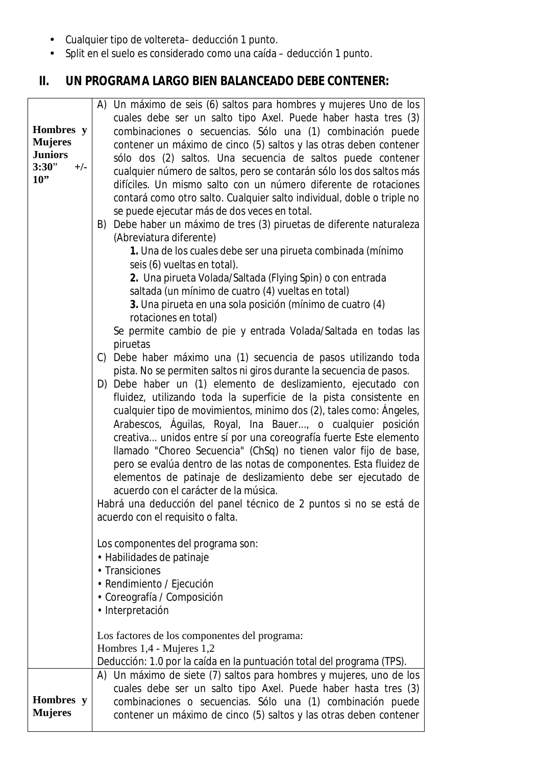- Cualquier tipo de voltereta– deducción 1 punto.
- Split en el suelo es considerado como una caída deducción 1 punto.

# **II. UN PROGRAMA LARGO BIEN BALANCEADO DEBE CONTENER:**

|                | A) Un máximo de seis (6) saltos para hombres y mujeres Uno de los       |
|----------------|-------------------------------------------------------------------------|
|                | cuales debe ser un salto tipo Axel. Puede haber hasta tres (3)          |
| Hombres y      | combinaciones o secuencias. Sólo una (1) combinación puede              |
| <b>Mujeres</b> | contener un máximo de cinco (5) saltos y las otras deben contener       |
| <b>Juniors</b> | sólo dos (2) saltos. Una secuencia de saltos puede contener             |
| 3:30"<br>$+/-$ | cualquier número de saltos, pero se contarán sólo los dos saltos más    |
| $10$ "         | difíciles. Un mismo salto con un número diferente de rotaciones         |
|                |                                                                         |
|                | contará como otro salto. Cualquier salto individual, doble o triple no  |
|                | se puede ejecutar más de dos veces en total.                            |
|                | Debe haber un máximo de tres (3) piruetas de diferente naturaleza<br>B) |
|                | (Abreviatura diferente)                                                 |
|                | 1. Una de los cuales debe ser una pirueta combinada (mínimo             |
|                | seis (6) vueltas en total).                                             |
|                | 2. Una pirueta Volada/Saltada (Flying Spin) o con entrada               |
|                | saltada (un mínimo de cuatro (4) vueltas en total)                      |
|                | 3. Una pirueta en una sola posición (mínimo de cuatro (4)               |
|                | rotaciones en total)                                                    |
|                | Se permite cambio de pie y entrada Volada/Saltada en todas las          |
|                | piruetas                                                                |
|                | C) Debe haber máximo una (1) secuencia de pasos utilizando toda         |
|                | pista. No se permiten saltos ni giros durante la secuencia de pasos.    |
|                | D) Debe haber un (1) elemento de deslizamiento, ejecutado con           |
|                | fluidez, utilizando toda la superficie de la pista consistente en       |
|                | cualquier tipo de movimientos, minimo dos (2), tales como: Ángeles,     |
|                | Arabescos, Águilas, Royal, Ina Bauer, o cualquier posición              |
|                | creativa unidos entre sí por una coreografía fuerte Este elemento       |
|                | Ilamado "Choreo Secuencia" (ChSq) no tienen valor fijo de base,         |
|                | pero se evalúa dentro de las notas de componentes. Esta fluidez de      |
|                | elementos de patinaje de deslizamiento debe ser ejecutado de            |
|                | acuerdo con el carácter de la música.                                   |
|                | Habrá una deducción del panel técnico de 2 puntos si no se está de      |
|                | acuerdo con el requisito o falta.                                       |
|                |                                                                         |
|                | Los componentes del programa son:                                       |
|                | · Habilidades de patinaje                                               |
|                | • Transiciones                                                          |
|                | • Rendimiento / Ejecución                                               |
|                | · Coreografía / Composición                                             |
|                | · Interpretación                                                        |
|                |                                                                         |
|                | Los factores de los componentes del programa:                           |
|                | Hombres 1,4 - Mujeres 1,2                                               |
|                | Deducción: 1.0 por la caída en la puntuación total del programa (TPS).  |
|                | A) Un máximo de siete (7) saltos para hombres y mujeres, uno de los     |
|                | cuales debe ser un salto tipo Axel. Puede haber hasta tres (3)          |
| Hombres y      | combinaciones o secuencias. Sólo una (1) combinación puede              |
| <b>Mujeres</b> | contener un máximo de cinco (5) saltos y las otras deben contener       |
|                |                                                                         |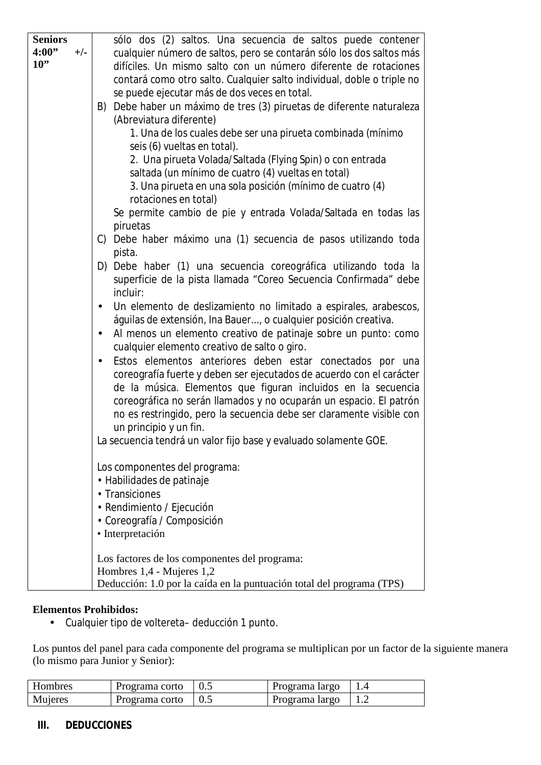| <b>Seniors</b> |       | sólo dos (2) saltos. Una secuencia de saltos puede contener             |
|----------------|-------|-------------------------------------------------------------------------|
| 4:00"          | $+/-$ | cualquier número de saltos, pero se contarán sólo los dos saltos más    |
| $10$ "         |       | difíciles. Un mismo salto con un número diferente de rotaciones         |
|                |       | contará como otro salto. Cualquier salto individual, doble o triple no  |
|                |       | se puede ejecutar más de dos veces en total.                            |
|                |       | Debe haber un máximo de tres (3) piruetas de diferente naturaleza<br>B) |
|                |       | (Abreviatura diferente)                                                 |
|                |       | 1. Una de los cuales debe ser una pirueta combinada (mínimo             |
|                |       | seis (6) vueltas en total).                                             |
|                |       | 2. Una pirueta Volada/Saltada (Flying Spin) o con entrada               |
|                |       | saltada (un mínimo de cuatro (4) vueltas en total)                      |
|                |       | 3. Una pirueta en una sola posición (mínimo de cuatro (4)               |
|                |       | rotaciones en total)                                                    |
|                |       | Se permite cambio de pie y entrada Volada/Saltada en todas las          |
|                |       | piruetas                                                                |
|                |       | C) Debe haber máximo una (1) secuencia de pasos utilizando toda         |
|                |       | pista.                                                                  |
|                |       | D) Debe haber (1) una secuencia coreográfica utilizando toda la         |
|                |       | superficie de la pista llamada "Coreo Secuencia Confirmada" debe        |
|                |       | incluir:                                                                |
|                |       | Un elemento de deslizamiento no limitado a espirales, arabescos,        |
|                |       | águilas de extensión, Ina Bauer, o cualquier posición creativa.         |
|                |       |                                                                         |
|                |       | Al menos un elemento creativo de patinaje sobre un punto: como          |
|                |       | cualquier elemento creativo de salto o giro.                            |
|                |       | Estos elementos anteriores deben estar conectados por una               |
|                |       | coreografía fuerte y deben ser ejecutados de acuerdo con el carácter    |
|                |       | de la música. Elementos que figuran incluidos en la secuencia           |
|                |       | coreográfica no serán llamados y no ocuparán un espacio. El patrón      |
|                |       | no es restringido, pero la secuencia debe ser claramente visible con    |
|                |       | un principio y un fin.                                                  |
|                |       | La secuencia tendrá un valor fijo base y evaluado solamente GOE.        |
|                |       |                                                                         |
|                |       | Los componentes del programa:                                           |
|                |       | • Habilidades de patinaje                                               |
|                |       | • Transiciones                                                          |
|                |       | • Rendimiento / Ejecución                                               |
|                |       | • Coreografía / Composición                                             |
|                |       | · Interpretación                                                        |
|                |       |                                                                         |
|                |       | Los factores de los componentes del programa:                           |
|                |       | Hombres 1,4 - Mujeres 1,2                                               |
|                |       | Deducción: 1.0 por la caída en la puntuación total del programa (TPS)   |

#### **Elementos Prohibidos:**

• Cualquier tipo de voltereta– deducción 1 punto.

Los puntos del panel para cada componente del programa se multiplican por un factor de la siguiente manera (lo mismo para Junior y Senior):

| Hombres | Programa corto | Programa largo |  |
|---------|----------------|----------------|--|
| Mujeres | Programa corto | Programa largo |  |

#### **III. DEDUCCIONES**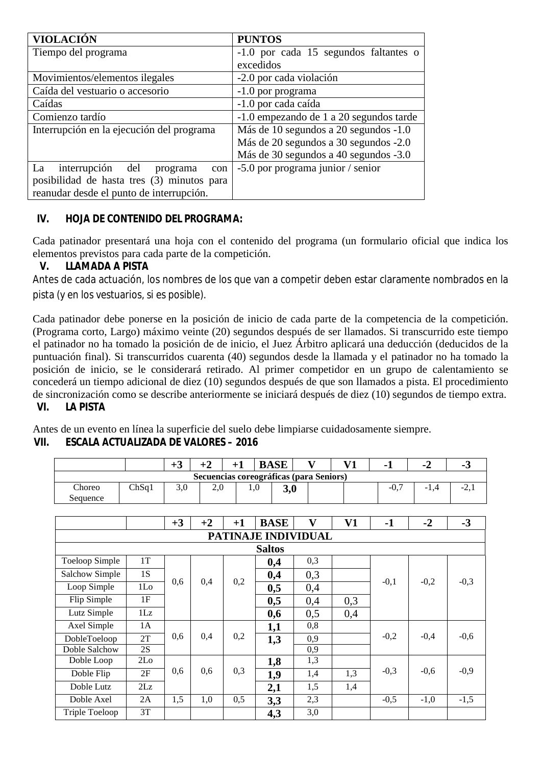| <b>VIOLACIÓN</b>                           | <b>PUNTOS</b>                           |  |  |  |  |
|--------------------------------------------|-----------------------------------------|--|--|--|--|
| Tiempo del programa                        | -1.0 por cada 15 segundos faltantes o   |  |  |  |  |
|                                            | excedidos                               |  |  |  |  |
| Movimientos/elementos ilegales             | -2.0 por cada violación                 |  |  |  |  |
| Caída del vestuario o accesorio            | -1.0 por programa                       |  |  |  |  |
| Caídas                                     | -1.0 por cada caída                     |  |  |  |  |
| Comienzo tardío                            | -1.0 empezando de 1 a 20 segundos tarde |  |  |  |  |
| Interrupción en la ejecución del programa  | Más de 10 segundos a 20 segundos -1.0   |  |  |  |  |
|                                            | Más de 20 segundos a 30 segundos -2.0   |  |  |  |  |
|                                            | Más de 30 segundos a 40 segundos -3.0   |  |  |  |  |
| interrupción del<br>La<br>programa<br>con  | -5.0 por programa junior / senior       |  |  |  |  |
| posibilidad de hasta tres (3) minutos para |                                         |  |  |  |  |
| reanudar desde el punto de interrupción.   |                                         |  |  |  |  |

## **IV. HOJA DE CONTENIDO DEL PROGRAMA:**

Cada patinador presentará una hoja con el contenido del programa (un formulario oficial que indica los elementos previstos para cada parte de la competición.

#### **V. LLAMADA A PISTA**

Antes de cada actuación, los nombres de los que van a competir deben estar claramente nombrados en la pista (y en los vestuarios, si es posible).

Cada patinador debe ponerse en la posición de inicio de cada parte de la competencia de la competición. (Programa corto, Largo) máximo veinte (20) segundos después de ser llamados. Si transcurrido este tiempo el patinador no ha tomado la posición de de inicio, el Juez Árbitro aplicará una deducción (deducidos de la puntuación final). Si transcurridos cuarenta (40) segundos desde la llamada y el patinador no ha tomado la posición de inicio, se le considerará retirado. Al primer competidor en un grupo de calentamiento se concederá un tiempo adicional de diez (10) segundos después de que son llamados a pista. El procedimiento de sincronización como se describe anteriormente se iniciará después de diez (10) segundos de tiempo extra. **VI. LA PISTA** 

Antes de un evento en línea la superficie del suelo debe limpiarse cuidadosamente siempre. **VII. ESCALA ACTUALIZADA DE VALORES – 2016** 

|                    |                                         | $+$ $\scriptstyle\mathsf{\sim}$ |         |  |     |  |  | . . | . . |   |  |  |  |
|--------------------|-----------------------------------------|---------------------------------|---------|--|-----|--|--|-----|-----|---|--|--|--|
|                    | Secuencias coreográficas (para Seniors) |                                 |         |  |     |  |  |     |     |   |  |  |  |
| Choreo<br>Sequence | ChSq1                                   | 3,0                             | $2.0\,$ |  | v.v |  |  | -v. | - 1 | - |  |  |  |

|                |                     | $+3$ | $+2$ | $+1$ | <b>BASE</b> | V   | V1  | -1     | $-2$   | $-3$   |        |  |  |
|----------------|---------------------|------|------|------|-------------|-----|-----|--------|--------|--------|--------|--|--|
|                | PATINAJE INDIVIDUAL |      |      |      |             |     |     |        |        |        |        |  |  |
| <b>Saltos</b>  |                     |      |      |      |             |     |     |        |        |        |        |  |  |
| Toeloop Simple | 1T                  |      |      |      | 0,4         | 0,3 |     |        |        |        |        |  |  |
| Salchow Simple | 1S                  |      |      |      | 0,4         | 0,3 |     |        |        |        |        |  |  |
| Loop Simple    | 1 <sub>LO</sub>     | 0.6  | 0,4  | 0,2  | 0,5         | 0,4 |     | $-0,1$ | $-0,2$ | $-0,3$ |        |  |  |
| Flip Simple    | 1F                  |      |      |      |             | 0,5 | 0,4 | 0,3    |        |        |        |  |  |
| Lutz Simple    | 1Lz                 |      |      |      | 0,6         | 0,5 | 0,4 |        |        |        |        |  |  |
| Axel Simple    | 1A                  |      |      |      | 1,1         | 0,8 |     |        |        |        |        |  |  |
| DobleToeloop   | 2T                  | 0,6  | 0,4  | 0,2  | 1,3         | 0,9 |     | $-0,2$ | $-0.4$ | $-0,6$ |        |  |  |
| Doble Salchow  | 2S                  |      |      |      |             | 0,9 |     |        |        |        |        |  |  |
| Doble Loop     | 2 <sub>Lo</sub>     |      |      |      | 1,8         | 1,3 |     |        |        |        |        |  |  |
| Doble Flip     | 2F                  | 0,6  | 0,6  | 0,3  |             | 1,9 | 1,4 | 1,3    | $-0,3$ | $-0,6$ | $-0,9$ |  |  |
| Doble Lutz     | 2Lz                 |      |      |      | 2,1         | 1,5 | 1,4 |        |        |        |        |  |  |
| Doble Axel     | 2A                  | 1,5  | 1,0  | 0,5  | 3,3         | 2,3 |     | $-0,5$ | $-1,0$ | $-1,5$ |        |  |  |
| Triple Toeloop | 3T                  |      |      |      | 4,3         | 3,0 |     |        |        |        |        |  |  |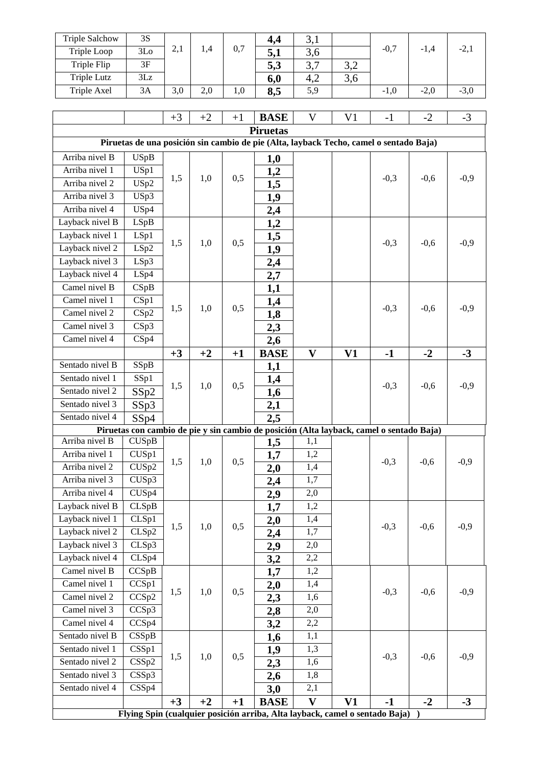| <b>Triple Salchow</b>                                                                        | 3S                                                                                                |      |      |      | 4,4         | 3,1              |     |        |        |        |
|----------------------------------------------------------------------------------------------|---------------------------------------------------------------------------------------------------|------|------|------|-------------|------------------|-----|--------|--------|--------|
| Triple Loop                                                                                  | 3Lo                                                                                               | 2,1  | 1,4  | 0,7  | 5,1         | 3,6              |     | $-0,7$ | $-1,4$ | $-2,1$ |
| Triple Flip                                                                                  | 3F                                                                                                |      |      |      | 5,3         | 3,7              | 3,2 |        |        |        |
| Triple Lutz                                                                                  | 3Lz                                                                                               |      |      |      | 6,0         | 4,2              | 3,6 |        |        |        |
| <b>Triple Axel</b>                                                                           | 3A                                                                                                | 3,0  | 2,0  | 1,0  | 8,5         | $\overline{5,9}$ |     | $-1,0$ | $-2,0$ | $-3,0$ |
|                                                                                              |                                                                                                   |      |      |      |             |                  |     |        |        |        |
| $\mathbf V$<br>V <sub>1</sub><br>$+3$<br>$-2$<br>$-3$<br>$+2$<br><b>BASE</b><br>$-1$<br>$+1$ |                                                                                                   |      |      |      |             |                  |     |        |        |        |
| <b>Piruetas</b>                                                                              |                                                                                                   |      |      |      |             |                  |     |        |        |        |
| Piruetas de una posición sin cambio de pie (Alta, layback Techo, camel o sentado Baja)       |                                                                                                   |      |      |      |             |                  |     |        |        |        |
| Arriba nivel B                                                                               | <b>USpB</b>                                                                                       |      |      |      | 1,0         |                  |     |        |        |        |
| Arriba nivel 1                                                                               | USp1                                                                                              |      |      |      | 1,2         |                  |     |        |        |        |
| Arriba nivel 2                                                                               | USp2                                                                                              | 1,5  | 1,0  | 0,5  | 1,5         |                  |     | $-0,3$ | $-0,6$ | $-0,9$ |
| Arriba nivel 3                                                                               | USp3                                                                                              |      |      |      |             |                  |     |        |        |        |
| Arriba nivel 4                                                                               | USp4                                                                                              |      |      |      | 1,9         |                  |     |        |        |        |
| Layback nivel B                                                                              | LSpB                                                                                              |      |      |      | 2,4         |                  |     |        |        |        |
| Layback nivel 1                                                                              | LSp1                                                                                              |      |      |      | 1,2         |                  |     |        |        |        |
| Layback nivel 2                                                                              | LSp2                                                                                              | 1,5  | 1,0  | 0,5  | 1,5         |                  |     | $-0,3$ | $-0,6$ | $-0,9$ |
| Layback nivel 3                                                                              |                                                                                                   |      |      |      | 1,9         |                  |     |        |        |        |
|                                                                                              | LSp3                                                                                              |      |      |      | 2,4         |                  |     |        |        |        |
| Layback nivel 4<br>Camel nivel B                                                             | LSp4                                                                                              |      |      |      | 2,7         |                  |     |        |        |        |
| Camel nivel 1                                                                                | CSpB                                                                                              |      |      |      | 1,1         |                  |     |        |        |        |
| Camel nivel 2                                                                                | CSp1<br>CSp2                                                                                      | 1,5  | 1,0  | 0,5  | 1,4         |                  |     | $-0,3$ | $-0,6$ | $-0,9$ |
| Camel nivel 3                                                                                |                                                                                                   |      |      |      | 1,8         |                  |     |        |        |        |
|                                                                                              | CSp3                                                                                              |      |      |      | 2,3         |                  |     |        |        |        |
| Camel nivel 4                                                                                | CSp4                                                                                              |      |      |      | 2,6         |                  |     |        |        |        |
|                                                                                              |                                                                                                   | $+3$ | $+2$ | $+1$ | <b>BASE</b> | $\mathbf{V}$     | V1  | $-1$   | $-2$   | $-3$   |
| Sentado nivel B                                                                              | SSpB                                                                                              |      |      |      | 1,1         |                  |     |        |        |        |
| Sentado nivel 1                                                                              | SSp1                                                                                              | 1,5  | 1,0  | 0,5  | 1,4         |                  |     | $-0,3$ | $-0,6$ | $-0,9$ |
| Sentado nivel 2                                                                              | SSp2                                                                                              |      |      |      | 1,6         |                  |     |        |        |        |
| Sentado nivel 3                                                                              | SSp3                                                                                              |      |      |      | 2,1         |                  |     |        |        |        |
| Sentado nivel 4                                                                              | SSp4                                                                                              |      |      |      | 2,5         |                  |     |        |        |        |
| Arriba nivel B                                                                               | Piruetas con cambio de pie y sin cambio de posición (Alta layback, camel o sentado Baja)<br>CUSpB |      |      |      |             |                  |     |        |        |        |
| Arriba nivel 1                                                                               | CUSp1                                                                                             |      |      |      | 1,5         | 1,1<br>1,2       |     |        |        |        |
| Arriba nivel 2                                                                               | $CU\overline{Sp2}$                                                                                | 1,5  | 1,0  | 0,5  | 1,7         | 1,4              |     | $-0,3$ | $-0,6$ | $-0,9$ |
| Arriba nivel 3                                                                               |                                                                                                   |      |      |      | 2,0         |                  |     |        |        |        |
| Arriba nivel 4                                                                               | CUS <sub>p3</sub><br>CUS <sub>p4</sub>                                                            |      |      |      | 2,4         | 1,7<br>2,0       |     |        |        |        |
| Layback nivel B                                                                              |                                                                                                   |      |      |      | 2,9         |                  |     |        |        |        |
| Layback nivel 1                                                                              | CLSpB<br>CLSp1                                                                                    |      |      |      | 1,7         | 1,2<br>1,4       |     |        |        |        |
| Layback nivel 2                                                                              |                                                                                                   | 1,5  | 1,0  | 0,5  | 2,0         |                  |     | $-0,3$ | $-0,6$ | $-0,9$ |
|                                                                                              | CLSp2                                                                                             |      |      |      | 2,4         | 1,7              |     |        |        |        |
| Layback nivel 3                                                                              | CLSp3                                                                                             |      |      |      | 2,9         | 2,0              |     |        |        |        |
| Layback nivel 4                                                                              | CLSp4                                                                                             |      |      |      | 3,2         | 2,2              |     |        |        |        |
| Camel nivel B                                                                                | CCSpB                                                                                             |      |      |      | 1,7         | 1,2              |     |        |        |        |
| Camel nivel 1                                                                                | CCSp1                                                                                             | 1,5  | 1,0  | 0,5  | 2,0         | 1,4              |     | $-0,3$ | $-0,6$ | $-0,9$ |
| Camel nivel 2                                                                                | CCSp2                                                                                             |      |      |      | 2,3         | 1,6              |     |        |        |        |
| Camel nivel 3                                                                                | CCSp3                                                                                             |      |      |      | 2,8         | 2,0              |     |        |        |        |
| Camel nivel 4                                                                                | CCSp4                                                                                             |      |      |      | 3,2         | 2,2              |     |        |        |        |
| Sentado nivel B                                                                              | CSSpB                                                                                             |      |      |      | 1,6         | 1,1              |     |        |        |        |
| Sentado nivel 1                                                                              | $\overline{\text{CSSp1}}$                                                                         | 1,5  | 1,0  | 0,5  | 1,9         | 1,3              |     | $-0,3$ | $-0,6$ | $-0,9$ |
| Sentado nivel 2                                                                              | CSSp2                                                                                             |      |      |      | 2,3         | 1,6              |     |        |        |        |
| Sentado nivel 3                                                                              | CSSp3                                                                                             |      |      |      | 2,6         | 1,8              |     |        |        |        |
| Sentado nivel 4                                                                              | CSSp4                                                                                             |      |      |      | 3,0         | 2,1              |     |        |        |        |
| $\mathbf{V}$<br>$+2$<br>V1<br>$+3$<br>$-1$<br>$-2$<br>$-3$<br>$+1$<br><b>BASE</b>            |                                                                                                   |      |      |      |             |                  |     |        |        |        |
| Flying Spin (cualquier posición arriba, Alta layback, camel o sentado Baja) )                |                                                                                                   |      |      |      |             |                  |     |        |        |        |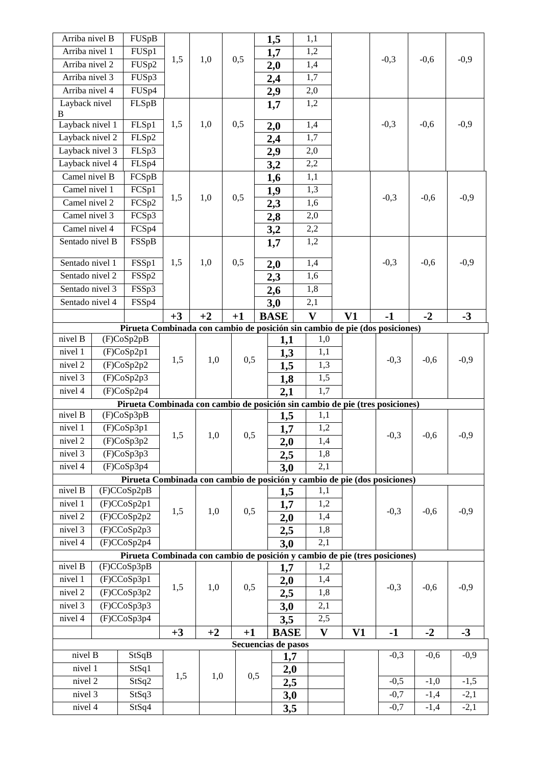| Arriba nivel 1<br>FUSp1<br>1,2<br>1,7<br>0,5<br>$-0,9$<br>1,5<br>1,0<br>$-0,3$<br>$-0,6$<br>Arriba nivel 2<br>FUSp2<br>1,4<br>2,0<br>Arriba nivel 3<br>FUSp3<br>1,7<br>2,4<br>FUSp4<br>Arriba nivel 4<br>2,0<br>2,9<br>Layback nivel<br>FLSpB<br>1,2<br>1,7<br>B<br>Layback nivel 1<br>FLSp1<br>1,5<br>0,5<br>$-0,3$<br>$-0,9$<br>1,0<br>1,4<br>$-0,6$<br>2,0<br>Layback nivel 2<br>FLSp2<br>1,7<br>2,4<br>Layback nivel 3<br>FLSp3<br>2,0<br>2,9<br>Layback nivel 4<br>FLSp4<br>2,2<br>3,2<br>Camel nivel B<br><b>FCSpB</b><br>1,1<br>1,6<br>Camel nivel 1<br>FCSp1<br>1,3<br>1,9<br>0,5<br>$-0,9$<br>1,5<br>1,0<br>$-0,3$<br>$-0,6$<br>Camel nivel 2<br>FCSp2<br>1,6<br>2,3<br>Camel nivel 3<br>FCSp3<br>2,0<br>2,8<br>Camel nivel 4<br>FCSp4<br>2,2<br>3,2<br>Sentado nivel B<br>FSSpB<br>1,2<br>1,7<br>$-0,9$<br>Sentado nivel 1<br>1,5<br>1,0<br>0,5<br>$-0,3$<br>$-0,6$<br>FSSp1<br>1,4<br>2,0<br>Sentado nivel 2<br>FSSp2<br>1,6<br>2,3<br>Sentado nivel 3<br>FSSp3<br>1,8<br>2,6<br>Sentado nivel 4<br>FSSp4<br>2,1<br>3,0<br>$\overline{\mathbf{V}}$<br>V1<br>$-1$<br>$-2$<br>$+3$<br>$+2$<br>$-3$<br>$+1$<br><b>BASE</b><br>Pirueta Combinada con cambio de posición sin cambio de pie (dos posiciones)<br>nivel B<br>(F)CoSp2pB<br>1,0<br>1,1<br>nivel 1<br>1,1<br>(F)CoSp2p1<br>1,3<br>1,5<br>1,0<br>0,5<br>$-0,9$<br>$-0,3$<br>$-0,6$<br>nivel 2<br>(F)CoSp2p2<br>1,3<br>1,5<br>nivel 3<br>(F)CoSp2p3<br>1,5<br>1,8<br>1,7<br>(F)CoSp2p4<br>nivel 4<br>2,1<br>Pirueta Combinada con cambio de posición sin cambio de pie (tres posiciones)<br>nivel B<br>(F)CoSp3pB<br>1,1<br>1,5<br>(F)CoSp3p1<br>1,7<br>1,2<br>nivel 1<br>$-0,9$<br>1,5<br>1,0<br>0,5<br>$-0,3$<br>$-0,6$<br>(F)CoSp3p2<br>2,0<br>1,4<br>nivel 2<br>nivel 3<br>(F)CoSp3p3<br>1,8<br>2,5<br>(F)CoSp3p4<br>2,1<br>nivel 4<br>3,0<br>Pirueta Combinada con cambio de posición y cambio de pie (dos posiciones)<br>nivel B<br>(F)CCoSp2pB<br>1,1<br>1,5<br>nivel 1<br>(F)CCoSp2p1<br>1,2<br>1,7<br>1,5<br>0,5<br>$-0,9$<br>1,0<br>$-0,3$<br>$-0,6$<br>(F)CCoSp2p2<br>nivel 2<br>1,4<br>2,0<br>(F)CCoSp2p3<br>nivel 3<br>1,8<br>2,5<br>(F)CCoSp2p4<br>2,1<br>nivel 4<br>3,0<br>Pirueta Combinada con cambio de posición y cambio de pie (tres posiciones)<br>nivel B<br>(F)CCoSp3pB<br>1,2<br>1,7<br>nivel 1<br>(F)CCoSp3p1<br>1,4<br>2,0<br>1,5<br>1,0<br>0,5<br>$-0,9$<br>$-0,3$<br>$-0,6$<br>(F)CCoSp3p2<br>1,8<br>nivel 2<br>2,5<br>nivel 3<br>(F)CCoSp3p3<br>2,1<br>3,0<br>(F)CCoSp3p4<br>2,5<br>nivel 4<br>3,5<br>$-3$<br>$+2$<br>$\mathbf{V}$<br>$\bf V1$<br>$-1$<br>$-2$<br>$+3$<br>$+1$<br><b>BASE</b><br>Secuencias de pasos<br>$-0,9$<br>nivel B<br>$-0,3$<br>StSqB<br>$-0,6$<br>1,7<br>nivel 1<br>StSq1<br>2,0<br>1,0<br>0,5<br>1,5<br>$-0,5$<br>nivel 2<br>$-1,0$<br>$-1,5$<br>StSq2<br>2,5<br>nivel 3<br>StSq3<br>$-0,7$<br>$-2,1$<br>$-1,4$<br>3,0<br>$-2,1$<br>StSq4<br>nivel 4<br>$-0,7$<br>$-1,4$<br>3,5 | Arriba nivel B |  | FUSpB |  |  |  |  | 1,5 | 1,1 |  |  |
|------------------------------------------------------------------------------------------------------------------------------------------------------------------------------------------------------------------------------------------------------------------------------------------------------------------------------------------------------------------------------------------------------------------------------------------------------------------------------------------------------------------------------------------------------------------------------------------------------------------------------------------------------------------------------------------------------------------------------------------------------------------------------------------------------------------------------------------------------------------------------------------------------------------------------------------------------------------------------------------------------------------------------------------------------------------------------------------------------------------------------------------------------------------------------------------------------------------------------------------------------------------------------------------------------------------------------------------------------------------------------------------------------------------------------------------------------------------------------------------------------------------------------------------------------------------------------------------------------------------------------------------------------------------------------------------------------------------------------------------------------------------------------------------------------------------------------------------------------------------------------------------------------------------------------------------------------------------------------------------------------------------------------------------------------------------------------------------------------------------------------------------------------------------------------------------------------------------------------------------------------------------------------------------------------------------------------------------------------------------------------------------------------------------------------------------------------------------------------------------------------------------------------------------------------------------------------------------------------------------------------------------------------------------------------------------------------------------------------------------------------------------------------------------------------------------------------------------------------------------------------------------------------|----------------|--|-------|--|--|--|--|-----|-----|--|--|
|                                                                                                                                                                                                                                                                                                                                                                                                                                                                                                                                                                                                                                                                                                                                                                                                                                                                                                                                                                                                                                                                                                                                                                                                                                                                                                                                                                                                                                                                                                                                                                                                                                                                                                                                                                                                                                                                                                                                                                                                                                                                                                                                                                                                                                                                                                                                                                                                                                                                                                                                                                                                                                                                                                                                                                                                                                                                                                      |                |  |       |  |  |  |  |     |     |  |  |
|                                                                                                                                                                                                                                                                                                                                                                                                                                                                                                                                                                                                                                                                                                                                                                                                                                                                                                                                                                                                                                                                                                                                                                                                                                                                                                                                                                                                                                                                                                                                                                                                                                                                                                                                                                                                                                                                                                                                                                                                                                                                                                                                                                                                                                                                                                                                                                                                                                                                                                                                                                                                                                                                                                                                                                                                                                                                                                      |                |  |       |  |  |  |  |     |     |  |  |
|                                                                                                                                                                                                                                                                                                                                                                                                                                                                                                                                                                                                                                                                                                                                                                                                                                                                                                                                                                                                                                                                                                                                                                                                                                                                                                                                                                                                                                                                                                                                                                                                                                                                                                                                                                                                                                                                                                                                                                                                                                                                                                                                                                                                                                                                                                                                                                                                                                                                                                                                                                                                                                                                                                                                                                                                                                                                                                      |                |  |       |  |  |  |  |     |     |  |  |
|                                                                                                                                                                                                                                                                                                                                                                                                                                                                                                                                                                                                                                                                                                                                                                                                                                                                                                                                                                                                                                                                                                                                                                                                                                                                                                                                                                                                                                                                                                                                                                                                                                                                                                                                                                                                                                                                                                                                                                                                                                                                                                                                                                                                                                                                                                                                                                                                                                                                                                                                                                                                                                                                                                                                                                                                                                                                                                      |                |  |       |  |  |  |  |     |     |  |  |
|                                                                                                                                                                                                                                                                                                                                                                                                                                                                                                                                                                                                                                                                                                                                                                                                                                                                                                                                                                                                                                                                                                                                                                                                                                                                                                                                                                                                                                                                                                                                                                                                                                                                                                                                                                                                                                                                                                                                                                                                                                                                                                                                                                                                                                                                                                                                                                                                                                                                                                                                                                                                                                                                                                                                                                                                                                                                                                      |                |  |       |  |  |  |  |     |     |  |  |
|                                                                                                                                                                                                                                                                                                                                                                                                                                                                                                                                                                                                                                                                                                                                                                                                                                                                                                                                                                                                                                                                                                                                                                                                                                                                                                                                                                                                                                                                                                                                                                                                                                                                                                                                                                                                                                                                                                                                                                                                                                                                                                                                                                                                                                                                                                                                                                                                                                                                                                                                                                                                                                                                                                                                                                                                                                                                                                      |                |  |       |  |  |  |  |     |     |  |  |
|                                                                                                                                                                                                                                                                                                                                                                                                                                                                                                                                                                                                                                                                                                                                                                                                                                                                                                                                                                                                                                                                                                                                                                                                                                                                                                                                                                                                                                                                                                                                                                                                                                                                                                                                                                                                                                                                                                                                                                                                                                                                                                                                                                                                                                                                                                                                                                                                                                                                                                                                                                                                                                                                                                                                                                                                                                                                                                      |                |  |       |  |  |  |  |     |     |  |  |
|                                                                                                                                                                                                                                                                                                                                                                                                                                                                                                                                                                                                                                                                                                                                                                                                                                                                                                                                                                                                                                                                                                                                                                                                                                                                                                                                                                                                                                                                                                                                                                                                                                                                                                                                                                                                                                                                                                                                                                                                                                                                                                                                                                                                                                                                                                                                                                                                                                                                                                                                                                                                                                                                                                                                                                                                                                                                                                      |                |  |       |  |  |  |  |     |     |  |  |
|                                                                                                                                                                                                                                                                                                                                                                                                                                                                                                                                                                                                                                                                                                                                                                                                                                                                                                                                                                                                                                                                                                                                                                                                                                                                                                                                                                                                                                                                                                                                                                                                                                                                                                                                                                                                                                                                                                                                                                                                                                                                                                                                                                                                                                                                                                                                                                                                                                                                                                                                                                                                                                                                                                                                                                                                                                                                                                      |                |  |       |  |  |  |  |     |     |  |  |
|                                                                                                                                                                                                                                                                                                                                                                                                                                                                                                                                                                                                                                                                                                                                                                                                                                                                                                                                                                                                                                                                                                                                                                                                                                                                                                                                                                                                                                                                                                                                                                                                                                                                                                                                                                                                                                                                                                                                                                                                                                                                                                                                                                                                                                                                                                                                                                                                                                                                                                                                                                                                                                                                                                                                                                                                                                                                                                      |                |  |       |  |  |  |  |     |     |  |  |
|                                                                                                                                                                                                                                                                                                                                                                                                                                                                                                                                                                                                                                                                                                                                                                                                                                                                                                                                                                                                                                                                                                                                                                                                                                                                                                                                                                                                                                                                                                                                                                                                                                                                                                                                                                                                                                                                                                                                                                                                                                                                                                                                                                                                                                                                                                                                                                                                                                                                                                                                                                                                                                                                                                                                                                                                                                                                                                      |                |  |       |  |  |  |  |     |     |  |  |
|                                                                                                                                                                                                                                                                                                                                                                                                                                                                                                                                                                                                                                                                                                                                                                                                                                                                                                                                                                                                                                                                                                                                                                                                                                                                                                                                                                                                                                                                                                                                                                                                                                                                                                                                                                                                                                                                                                                                                                                                                                                                                                                                                                                                                                                                                                                                                                                                                                                                                                                                                                                                                                                                                                                                                                                                                                                                                                      |                |  |       |  |  |  |  |     |     |  |  |
|                                                                                                                                                                                                                                                                                                                                                                                                                                                                                                                                                                                                                                                                                                                                                                                                                                                                                                                                                                                                                                                                                                                                                                                                                                                                                                                                                                                                                                                                                                                                                                                                                                                                                                                                                                                                                                                                                                                                                                                                                                                                                                                                                                                                                                                                                                                                                                                                                                                                                                                                                                                                                                                                                                                                                                                                                                                                                                      |                |  |       |  |  |  |  |     |     |  |  |
|                                                                                                                                                                                                                                                                                                                                                                                                                                                                                                                                                                                                                                                                                                                                                                                                                                                                                                                                                                                                                                                                                                                                                                                                                                                                                                                                                                                                                                                                                                                                                                                                                                                                                                                                                                                                                                                                                                                                                                                                                                                                                                                                                                                                                                                                                                                                                                                                                                                                                                                                                                                                                                                                                                                                                                                                                                                                                                      |                |  |       |  |  |  |  |     |     |  |  |
|                                                                                                                                                                                                                                                                                                                                                                                                                                                                                                                                                                                                                                                                                                                                                                                                                                                                                                                                                                                                                                                                                                                                                                                                                                                                                                                                                                                                                                                                                                                                                                                                                                                                                                                                                                                                                                                                                                                                                                                                                                                                                                                                                                                                                                                                                                                                                                                                                                                                                                                                                                                                                                                                                                                                                                                                                                                                                                      |                |  |       |  |  |  |  |     |     |  |  |
|                                                                                                                                                                                                                                                                                                                                                                                                                                                                                                                                                                                                                                                                                                                                                                                                                                                                                                                                                                                                                                                                                                                                                                                                                                                                                                                                                                                                                                                                                                                                                                                                                                                                                                                                                                                                                                                                                                                                                                                                                                                                                                                                                                                                                                                                                                                                                                                                                                                                                                                                                                                                                                                                                                                                                                                                                                                                                                      |                |  |       |  |  |  |  |     |     |  |  |
|                                                                                                                                                                                                                                                                                                                                                                                                                                                                                                                                                                                                                                                                                                                                                                                                                                                                                                                                                                                                                                                                                                                                                                                                                                                                                                                                                                                                                                                                                                                                                                                                                                                                                                                                                                                                                                                                                                                                                                                                                                                                                                                                                                                                                                                                                                                                                                                                                                                                                                                                                                                                                                                                                                                                                                                                                                                                                                      |                |  |       |  |  |  |  |     |     |  |  |
|                                                                                                                                                                                                                                                                                                                                                                                                                                                                                                                                                                                                                                                                                                                                                                                                                                                                                                                                                                                                                                                                                                                                                                                                                                                                                                                                                                                                                                                                                                                                                                                                                                                                                                                                                                                                                                                                                                                                                                                                                                                                                                                                                                                                                                                                                                                                                                                                                                                                                                                                                                                                                                                                                                                                                                                                                                                                                                      |                |  |       |  |  |  |  |     |     |  |  |
|                                                                                                                                                                                                                                                                                                                                                                                                                                                                                                                                                                                                                                                                                                                                                                                                                                                                                                                                                                                                                                                                                                                                                                                                                                                                                                                                                                                                                                                                                                                                                                                                                                                                                                                                                                                                                                                                                                                                                                                                                                                                                                                                                                                                                                                                                                                                                                                                                                                                                                                                                                                                                                                                                                                                                                                                                                                                                                      |                |  |       |  |  |  |  |     |     |  |  |
|                                                                                                                                                                                                                                                                                                                                                                                                                                                                                                                                                                                                                                                                                                                                                                                                                                                                                                                                                                                                                                                                                                                                                                                                                                                                                                                                                                                                                                                                                                                                                                                                                                                                                                                                                                                                                                                                                                                                                                                                                                                                                                                                                                                                                                                                                                                                                                                                                                                                                                                                                                                                                                                                                                                                                                                                                                                                                                      |                |  |       |  |  |  |  |     |     |  |  |
|                                                                                                                                                                                                                                                                                                                                                                                                                                                                                                                                                                                                                                                                                                                                                                                                                                                                                                                                                                                                                                                                                                                                                                                                                                                                                                                                                                                                                                                                                                                                                                                                                                                                                                                                                                                                                                                                                                                                                                                                                                                                                                                                                                                                                                                                                                                                                                                                                                                                                                                                                                                                                                                                                                                                                                                                                                                                                                      |                |  |       |  |  |  |  |     |     |  |  |
|                                                                                                                                                                                                                                                                                                                                                                                                                                                                                                                                                                                                                                                                                                                                                                                                                                                                                                                                                                                                                                                                                                                                                                                                                                                                                                                                                                                                                                                                                                                                                                                                                                                                                                                                                                                                                                                                                                                                                                                                                                                                                                                                                                                                                                                                                                                                                                                                                                                                                                                                                                                                                                                                                                                                                                                                                                                                                                      |                |  |       |  |  |  |  |     |     |  |  |
|                                                                                                                                                                                                                                                                                                                                                                                                                                                                                                                                                                                                                                                                                                                                                                                                                                                                                                                                                                                                                                                                                                                                                                                                                                                                                                                                                                                                                                                                                                                                                                                                                                                                                                                                                                                                                                                                                                                                                                                                                                                                                                                                                                                                                                                                                                                                                                                                                                                                                                                                                                                                                                                                                                                                                                                                                                                                                                      |                |  |       |  |  |  |  |     |     |  |  |
|                                                                                                                                                                                                                                                                                                                                                                                                                                                                                                                                                                                                                                                                                                                                                                                                                                                                                                                                                                                                                                                                                                                                                                                                                                                                                                                                                                                                                                                                                                                                                                                                                                                                                                                                                                                                                                                                                                                                                                                                                                                                                                                                                                                                                                                                                                                                                                                                                                                                                                                                                                                                                                                                                                                                                                                                                                                                                                      |                |  |       |  |  |  |  |     |     |  |  |
|                                                                                                                                                                                                                                                                                                                                                                                                                                                                                                                                                                                                                                                                                                                                                                                                                                                                                                                                                                                                                                                                                                                                                                                                                                                                                                                                                                                                                                                                                                                                                                                                                                                                                                                                                                                                                                                                                                                                                                                                                                                                                                                                                                                                                                                                                                                                                                                                                                                                                                                                                                                                                                                                                                                                                                                                                                                                                                      |                |  |       |  |  |  |  |     |     |  |  |
|                                                                                                                                                                                                                                                                                                                                                                                                                                                                                                                                                                                                                                                                                                                                                                                                                                                                                                                                                                                                                                                                                                                                                                                                                                                                                                                                                                                                                                                                                                                                                                                                                                                                                                                                                                                                                                                                                                                                                                                                                                                                                                                                                                                                                                                                                                                                                                                                                                                                                                                                                                                                                                                                                                                                                                                                                                                                                                      |                |  |       |  |  |  |  |     |     |  |  |
|                                                                                                                                                                                                                                                                                                                                                                                                                                                                                                                                                                                                                                                                                                                                                                                                                                                                                                                                                                                                                                                                                                                                                                                                                                                                                                                                                                                                                                                                                                                                                                                                                                                                                                                                                                                                                                                                                                                                                                                                                                                                                                                                                                                                                                                                                                                                                                                                                                                                                                                                                                                                                                                                                                                                                                                                                                                                                                      |                |  |       |  |  |  |  |     |     |  |  |
|                                                                                                                                                                                                                                                                                                                                                                                                                                                                                                                                                                                                                                                                                                                                                                                                                                                                                                                                                                                                                                                                                                                                                                                                                                                                                                                                                                                                                                                                                                                                                                                                                                                                                                                                                                                                                                                                                                                                                                                                                                                                                                                                                                                                                                                                                                                                                                                                                                                                                                                                                                                                                                                                                                                                                                                                                                                                                                      |                |  |       |  |  |  |  |     |     |  |  |
|                                                                                                                                                                                                                                                                                                                                                                                                                                                                                                                                                                                                                                                                                                                                                                                                                                                                                                                                                                                                                                                                                                                                                                                                                                                                                                                                                                                                                                                                                                                                                                                                                                                                                                                                                                                                                                                                                                                                                                                                                                                                                                                                                                                                                                                                                                                                                                                                                                                                                                                                                                                                                                                                                                                                                                                                                                                                                                      |                |  |       |  |  |  |  |     |     |  |  |
|                                                                                                                                                                                                                                                                                                                                                                                                                                                                                                                                                                                                                                                                                                                                                                                                                                                                                                                                                                                                                                                                                                                                                                                                                                                                                                                                                                                                                                                                                                                                                                                                                                                                                                                                                                                                                                                                                                                                                                                                                                                                                                                                                                                                                                                                                                                                                                                                                                                                                                                                                                                                                                                                                                                                                                                                                                                                                                      |                |  |       |  |  |  |  |     |     |  |  |
|                                                                                                                                                                                                                                                                                                                                                                                                                                                                                                                                                                                                                                                                                                                                                                                                                                                                                                                                                                                                                                                                                                                                                                                                                                                                                                                                                                                                                                                                                                                                                                                                                                                                                                                                                                                                                                                                                                                                                                                                                                                                                                                                                                                                                                                                                                                                                                                                                                                                                                                                                                                                                                                                                                                                                                                                                                                                                                      |                |  |       |  |  |  |  |     |     |  |  |
|                                                                                                                                                                                                                                                                                                                                                                                                                                                                                                                                                                                                                                                                                                                                                                                                                                                                                                                                                                                                                                                                                                                                                                                                                                                                                                                                                                                                                                                                                                                                                                                                                                                                                                                                                                                                                                                                                                                                                                                                                                                                                                                                                                                                                                                                                                                                                                                                                                                                                                                                                                                                                                                                                                                                                                                                                                                                                                      |                |  |       |  |  |  |  |     |     |  |  |
|                                                                                                                                                                                                                                                                                                                                                                                                                                                                                                                                                                                                                                                                                                                                                                                                                                                                                                                                                                                                                                                                                                                                                                                                                                                                                                                                                                                                                                                                                                                                                                                                                                                                                                                                                                                                                                                                                                                                                                                                                                                                                                                                                                                                                                                                                                                                                                                                                                                                                                                                                                                                                                                                                                                                                                                                                                                                                                      |                |  |       |  |  |  |  |     |     |  |  |
|                                                                                                                                                                                                                                                                                                                                                                                                                                                                                                                                                                                                                                                                                                                                                                                                                                                                                                                                                                                                                                                                                                                                                                                                                                                                                                                                                                                                                                                                                                                                                                                                                                                                                                                                                                                                                                                                                                                                                                                                                                                                                                                                                                                                                                                                                                                                                                                                                                                                                                                                                                                                                                                                                                                                                                                                                                                                                                      |                |  |       |  |  |  |  |     |     |  |  |
|                                                                                                                                                                                                                                                                                                                                                                                                                                                                                                                                                                                                                                                                                                                                                                                                                                                                                                                                                                                                                                                                                                                                                                                                                                                                                                                                                                                                                                                                                                                                                                                                                                                                                                                                                                                                                                                                                                                                                                                                                                                                                                                                                                                                                                                                                                                                                                                                                                                                                                                                                                                                                                                                                                                                                                                                                                                                                                      |                |  |       |  |  |  |  |     |     |  |  |
|                                                                                                                                                                                                                                                                                                                                                                                                                                                                                                                                                                                                                                                                                                                                                                                                                                                                                                                                                                                                                                                                                                                                                                                                                                                                                                                                                                                                                                                                                                                                                                                                                                                                                                                                                                                                                                                                                                                                                                                                                                                                                                                                                                                                                                                                                                                                                                                                                                                                                                                                                                                                                                                                                                                                                                                                                                                                                                      |                |  |       |  |  |  |  |     |     |  |  |
|                                                                                                                                                                                                                                                                                                                                                                                                                                                                                                                                                                                                                                                                                                                                                                                                                                                                                                                                                                                                                                                                                                                                                                                                                                                                                                                                                                                                                                                                                                                                                                                                                                                                                                                                                                                                                                                                                                                                                                                                                                                                                                                                                                                                                                                                                                                                                                                                                                                                                                                                                                                                                                                                                                                                                                                                                                                                                                      |                |  |       |  |  |  |  |     |     |  |  |
|                                                                                                                                                                                                                                                                                                                                                                                                                                                                                                                                                                                                                                                                                                                                                                                                                                                                                                                                                                                                                                                                                                                                                                                                                                                                                                                                                                                                                                                                                                                                                                                                                                                                                                                                                                                                                                                                                                                                                                                                                                                                                                                                                                                                                                                                                                                                                                                                                                                                                                                                                                                                                                                                                                                                                                                                                                                                                                      |                |  |       |  |  |  |  |     |     |  |  |
|                                                                                                                                                                                                                                                                                                                                                                                                                                                                                                                                                                                                                                                                                                                                                                                                                                                                                                                                                                                                                                                                                                                                                                                                                                                                                                                                                                                                                                                                                                                                                                                                                                                                                                                                                                                                                                                                                                                                                                                                                                                                                                                                                                                                                                                                                                                                                                                                                                                                                                                                                                                                                                                                                                                                                                                                                                                                                                      |                |  |       |  |  |  |  |     |     |  |  |
|                                                                                                                                                                                                                                                                                                                                                                                                                                                                                                                                                                                                                                                                                                                                                                                                                                                                                                                                                                                                                                                                                                                                                                                                                                                                                                                                                                                                                                                                                                                                                                                                                                                                                                                                                                                                                                                                                                                                                                                                                                                                                                                                                                                                                                                                                                                                                                                                                                                                                                                                                                                                                                                                                                                                                                                                                                                                                                      |                |  |       |  |  |  |  |     |     |  |  |
|                                                                                                                                                                                                                                                                                                                                                                                                                                                                                                                                                                                                                                                                                                                                                                                                                                                                                                                                                                                                                                                                                                                                                                                                                                                                                                                                                                                                                                                                                                                                                                                                                                                                                                                                                                                                                                                                                                                                                                                                                                                                                                                                                                                                                                                                                                                                                                                                                                                                                                                                                                                                                                                                                                                                                                                                                                                                                                      |                |  |       |  |  |  |  |     |     |  |  |
|                                                                                                                                                                                                                                                                                                                                                                                                                                                                                                                                                                                                                                                                                                                                                                                                                                                                                                                                                                                                                                                                                                                                                                                                                                                                                                                                                                                                                                                                                                                                                                                                                                                                                                                                                                                                                                                                                                                                                                                                                                                                                                                                                                                                                                                                                                                                                                                                                                                                                                                                                                                                                                                                                                                                                                                                                                                                                                      |                |  |       |  |  |  |  |     |     |  |  |
|                                                                                                                                                                                                                                                                                                                                                                                                                                                                                                                                                                                                                                                                                                                                                                                                                                                                                                                                                                                                                                                                                                                                                                                                                                                                                                                                                                                                                                                                                                                                                                                                                                                                                                                                                                                                                                                                                                                                                                                                                                                                                                                                                                                                                                                                                                                                                                                                                                                                                                                                                                                                                                                                                                                                                                                                                                                                                                      |                |  |       |  |  |  |  |     |     |  |  |
|                                                                                                                                                                                                                                                                                                                                                                                                                                                                                                                                                                                                                                                                                                                                                                                                                                                                                                                                                                                                                                                                                                                                                                                                                                                                                                                                                                                                                                                                                                                                                                                                                                                                                                                                                                                                                                                                                                                                                                                                                                                                                                                                                                                                                                                                                                                                                                                                                                                                                                                                                                                                                                                                                                                                                                                                                                                                                                      |                |  |       |  |  |  |  |     |     |  |  |
|                                                                                                                                                                                                                                                                                                                                                                                                                                                                                                                                                                                                                                                                                                                                                                                                                                                                                                                                                                                                                                                                                                                                                                                                                                                                                                                                                                                                                                                                                                                                                                                                                                                                                                                                                                                                                                                                                                                                                                                                                                                                                                                                                                                                                                                                                                                                                                                                                                                                                                                                                                                                                                                                                                                                                                                                                                                                                                      |                |  |       |  |  |  |  |     |     |  |  |
|                                                                                                                                                                                                                                                                                                                                                                                                                                                                                                                                                                                                                                                                                                                                                                                                                                                                                                                                                                                                                                                                                                                                                                                                                                                                                                                                                                                                                                                                                                                                                                                                                                                                                                                                                                                                                                                                                                                                                                                                                                                                                                                                                                                                                                                                                                                                                                                                                                                                                                                                                                                                                                                                                                                                                                                                                                                                                                      |                |  |       |  |  |  |  |     |     |  |  |
|                                                                                                                                                                                                                                                                                                                                                                                                                                                                                                                                                                                                                                                                                                                                                                                                                                                                                                                                                                                                                                                                                                                                                                                                                                                                                                                                                                                                                                                                                                                                                                                                                                                                                                                                                                                                                                                                                                                                                                                                                                                                                                                                                                                                                                                                                                                                                                                                                                                                                                                                                                                                                                                                                                                                                                                                                                                                                                      |                |  |       |  |  |  |  |     |     |  |  |
|                                                                                                                                                                                                                                                                                                                                                                                                                                                                                                                                                                                                                                                                                                                                                                                                                                                                                                                                                                                                                                                                                                                                                                                                                                                                                                                                                                                                                                                                                                                                                                                                                                                                                                                                                                                                                                                                                                                                                                                                                                                                                                                                                                                                                                                                                                                                                                                                                                                                                                                                                                                                                                                                                                                                                                                                                                                                                                      |                |  |       |  |  |  |  |     |     |  |  |
|                                                                                                                                                                                                                                                                                                                                                                                                                                                                                                                                                                                                                                                                                                                                                                                                                                                                                                                                                                                                                                                                                                                                                                                                                                                                                                                                                                                                                                                                                                                                                                                                                                                                                                                                                                                                                                                                                                                                                                                                                                                                                                                                                                                                                                                                                                                                                                                                                                                                                                                                                                                                                                                                                                                                                                                                                                                                                                      |                |  |       |  |  |  |  |     |     |  |  |
|                                                                                                                                                                                                                                                                                                                                                                                                                                                                                                                                                                                                                                                                                                                                                                                                                                                                                                                                                                                                                                                                                                                                                                                                                                                                                                                                                                                                                                                                                                                                                                                                                                                                                                                                                                                                                                                                                                                                                                                                                                                                                                                                                                                                                                                                                                                                                                                                                                                                                                                                                                                                                                                                                                                                                                                                                                                                                                      |                |  |       |  |  |  |  |     |     |  |  |
|                                                                                                                                                                                                                                                                                                                                                                                                                                                                                                                                                                                                                                                                                                                                                                                                                                                                                                                                                                                                                                                                                                                                                                                                                                                                                                                                                                                                                                                                                                                                                                                                                                                                                                                                                                                                                                                                                                                                                                                                                                                                                                                                                                                                                                                                                                                                                                                                                                                                                                                                                                                                                                                                                                                                                                                                                                                                                                      |                |  |       |  |  |  |  |     |     |  |  |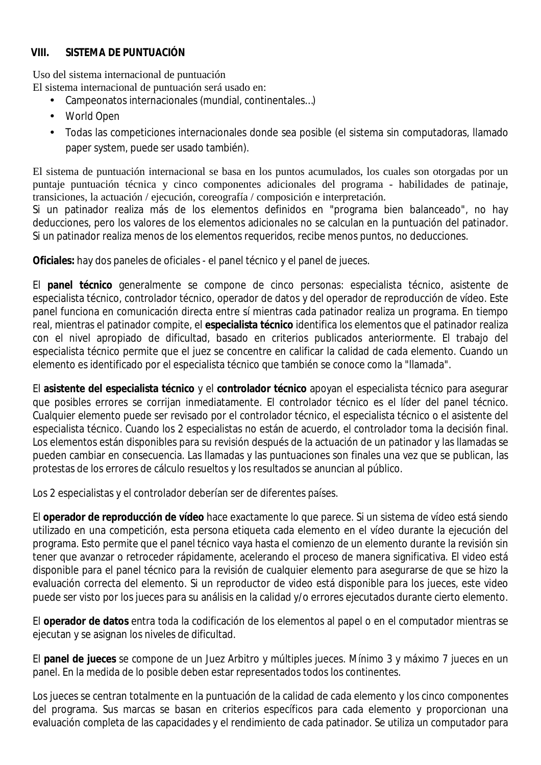#### **VIII. SISTEMA DE PUNTUACIÓN**

Uso del sistema internacional de puntuación El sistema internacional de puntuación será usado en:

- Campeonatos internacionales (mundial, continentales…)
- World Open
- Todas las competiciones internacionales donde sea posible (el sistema sin computadoras, llamado paper system, puede ser usado también).

El sistema de puntuación internacional se basa en los puntos acumulados, los cuales son otorgadas por un puntaje puntuación técnica y cinco componentes adicionales del programa - habilidades de patinaje, transiciones, la actuación / ejecución, coreografía / composición e interpretación.

Si un patinador realiza más de los elementos definidos en "programa bien balanceado", no hay deducciones, pero los valores de los elementos adicionales no se calculan en la puntuación del patinador. Si un patinador realiza menos de los elementos requeridos, recibe menos puntos, no deducciones.

**Oficiales:** hay dos paneles de oficiales - el panel técnico y el panel de jueces.

El **panel técnico** generalmente se compone de cinco personas: especialista técnico, asistente de especialista técnico, controlador técnico, operador de datos y del operador de reproducción de vídeo. Este panel funciona en comunicación directa entre sí mientras cada patinador realiza un programa. En tiempo real, mientras el patinador compite, el **especialista técnico** identifica los elementos que el patinador realiza con el nivel apropiado de dificultad, basado en criterios publicados anteriormente. El trabajo del especialista técnico permite que el juez se concentre en calificar la calidad de cada elemento. Cuando un elemento es identificado por el especialista técnico que también se conoce como la "llamada".

El **asistente del especialista técnico** y el **controlador técnico** apoyan el especialista técnico para asegurar que posibles errores se corrijan inmediatamente. El controlador técnico es el líder del panel técnico. Cualquier elemento puede ser revisado por el controlador técnico, el especialista técnico o el asistente del especialista técnico. Cuando los 2 especialistas no están de acuerdo, el controlador toma la decisión final. Los elementos están disponibles para su revisión después de la actuación de un patinador y las llamadas se pueden cambiar en consecuencia. Las llamadas y las puntuaciones son finales una vez que se publican, las protestas de los errores de cálculo resueltos y los resultados se anuncian al público.

Los 2 especialistas y el controlador deberían ser de diferentes países.

El **operador de reproducción de vídeo** hace exactamente lo que parece. Si un sistema de vídeo está siendo utilizado en una competición, esta persona etiqueta cada elemento en el vídeo durante la ejecución del programa. Esto permite que el panel técnico vaya hasta el comienzo de un elemento durante la revisión sin tener que avanzar o retroceder rápidamente, acelerando el proceso de manera significativa. El video está disponible para el panel técnico para la revisión de cualquier elemento para asegurarse de que se hizo la evaluación correcta del elemento. Si un reproductor de video está disponible para los jueces, este video puede ser visto por los jueces para su análisis en la calidad y/o errores ejecutados durante cierto elemento.

El **operador de datos** entra toda la codificación de los elementos al papel o en el computador mientras se ejecutan y se asignan los niveles de dificultad.

El **panel de jueces** se compone de un Juez Arbitro y múltiples jueces. Mínimo 3 y máximo 7 jueces en un panel. En la medida de lo posible deben estar representados todos los continentes.

Los jueces se centran totalmente en la puntuación de la calidad de cada elemento y los cinco componentes del programa. Sus marcas se basan en criterios específicos para cada elemento y proporcionan una evaluación completa de las capacidades y el rendimiento de cada patinador. Se utiliza un computador para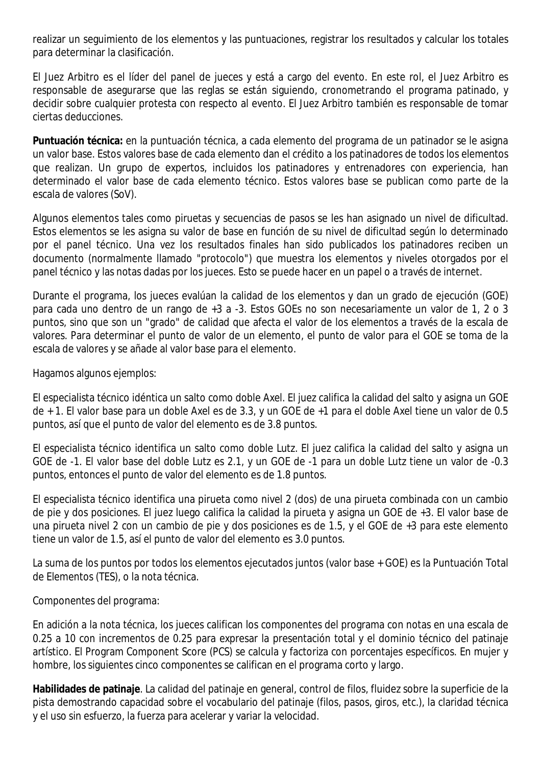realizar un seguimiento de los elementos y las puntuaciones, registrar los resultados y calcular los totales para determinar la clasificación.

El Juez Arbitro es el líder del panel de jueces y está a cargo del evento. En este rol, el Juez Arbitro es responsable de asegurarse que las reglas se están siguiendo, cronometrando el programa patinado, y decidir sobre cualquier protesta con respecto al evento. El Juez Arbitro también es responsable de tomar ciertas deducciones.

**Puntuación técnica:** en la puntuación técnica, a cada elemento del programa de un patinador se le asigna un valor base. Estos valores base de cada elemento dan el crédito a los patinadores de todos los elementos que realizan. Un grupo de expertos, incluidos los patinadores y entrenadores con experiencia, han determinado el valor base de cada elemento técnico. Estos valores base se publican como parte de la escala de valores (SoV).

Algunos elementos tales como piruetas y secuencias de pasos se les han asignado un nivel de dificultad. Estos elementos se les asigna su valor de base en función de su nivel de dificultad según lo determinado por el panel técnico. Una vez los resultados finales han sido publicados los patinadores reciben un documento (normalmente llamado "protocolo") que muestra los elementos y niveles otorgados por el panel técnico y las notas dadas por los jueces. Esto se puede hacer en un papel o a través de internet.

Durante el programa, los jueces evalúan la calidad de los elementos y dan un grado de ejecución (GOE) para cada uno dentro de un rango de +3 a -3. Estos GOEs no son necesariamente un valor de 1, 2 o 3 puntos, sino que son un "grado" de calidad que afecta el valor de los elementos a través de la escala de valores. Para determinar el punto de valor de un elemento, el punto de valor para el GOE se toma de la escala de valores y se añade al valor base para el elemento.

Hagamos algunos ejemplos:

El especialista técnico idéntica un salto como doble Axel. El juez califica la calidad del salto y asigna un GOE de + 1. El valor base para un doble Axel es de 3.3, y un GOE de +1 para el doble Axel tiene un valor de 0.5 puntos, así que el punto de valor del elemento es de 3.8 puntos.

El especialista técnico identifica un salto como doble Lutz. El juez califica la calidad del salto y asigna un GOE de -1. El valor base del doble Lutz es 2.1, y un GOE de -1 para un doble Lutz tiene un valor de -0.3 puntos, entonces el punto de valor del elemento es de 1.8 puntos.

El especialista técnico identifica una pirueta como nivel 2 (dos) de una pirueta combinada con un cambio de pie y dos posiciones. El juez luego califica la calidad la pirueta y asigna un GOE de +3. El valor base de una pirueta nivel 2 con un cambio de pie y dos posiciones es de 1.5, y el GOE de +3 para este elemento tiene un valor de 1.5, así el punto de valor del elemento es 3.0 puntos.

La suma de los puntos por todos los elementos ejecutados juntos (valor base + GOE) es la Puntuación Total de Elementos (TES), o la nota técnica.

Componentes del programa:

En adición a la nota técnica, los jueces califican los componentes del programa con notas en una escala de 0.25 a 10 con incrementos de 0.25 para expresar la presentación total y el dominio técnico del patinaje artístico. El Program Component Score (PCS) se calcula y factoriza con porcentajes específicos. En mujer y hombre, los siguientes cinco componentes se califican en el programa corto y largo.

**Habilidades de patinaje**. La calidad del patinaje en general, control de filos, fluidez sobre la superficie de la pista demostrando capacidad sobre el vocabulario del patinaje (filos, pasos, giros, etc.), la claridad técnica y el uso sin esfuerzo, la fuerza para acelerar y variar la velocidad.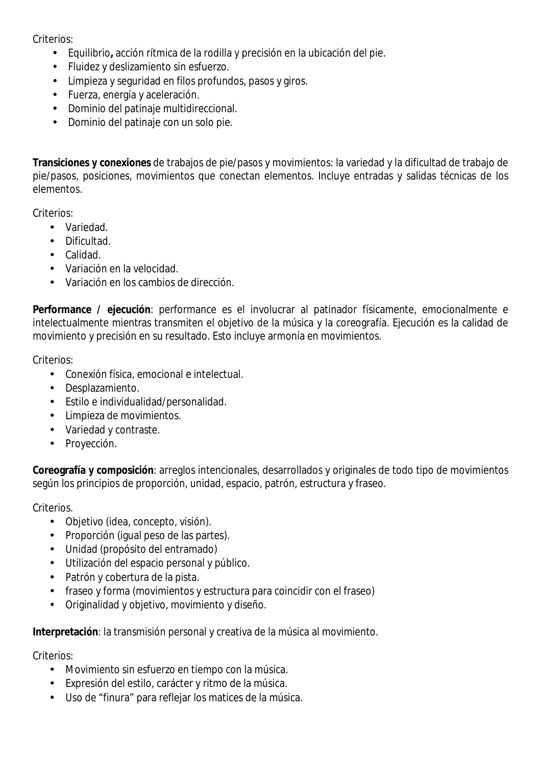Criterios<sup>.</sup>

- Equilibrio**,** acción rítmica de la rodilla y precisión en la ubicación del pie.
- Fluidez y deslizamiento sin esfuerzo.
- Limpieza y seguridad en filos profundos, pasos y giros.
- Fuerza, energía y aceleración.
- Dominio del patinaje multidireccional.
- Dominio del patinaje con un solo pie.

**Transiciones y conexiones** de trabajos de pie/pasos y movimientos: la variedad y la dificultad de trabajo de pie/pasos, posiciones, movimientos que conectan elementos. Incluye entradas y salidas técnicas de los elementos.

Criterios:

- Variedad.
- Dificultad.
- Calidad.
- Variación en la velocidad.
- Variación en los cambios de dirección.

**Performance / ejecución**: performance es el involucrar al patinador físicamente, emocionalmente e intelectualmente mientras transmiten el objetivo de la música y la coreografía. Ejecución es la calidad de movimiento y precisión en su resultado. Esto incluye armonía en movimientos.

Criterios:

- Conexión física, emocional e intelectual.
- Desplazamiento.
- Estilo e individualidad/personalidad.
- Limpieza de movimientos.
- Variedad y contraste.
- Proyección.

**Coreografía y composición**: arreglos intencionales, desarrollados y originales de todo tipo de movimientos según los principios de proporción, unidad, espacio, patrón, estructura y fraseo.

Criterios.

- Objetivo (idea, concepto, visión).
- Proporción (igual peso de las partes).
- Unidad (propósito del entramado)
- Utilización del espacio personal y público.
- Patrón y cobertura de la pista.
- fraseo y forma (movimientos y estructura para coincidir con el fraseo)
- Originalidad y objetivo, movimiento y diseño.

**Interpretación**: la transmisión personal y creativa de la música al movimiento.

Criterios<sup>.</sup>

- Movimiento sin esfuerzo en tiempo con la música.
- Expresión del estilo, carácter y ritmo de la música.
- Uso de "finura" para reflejar los matices de la música.